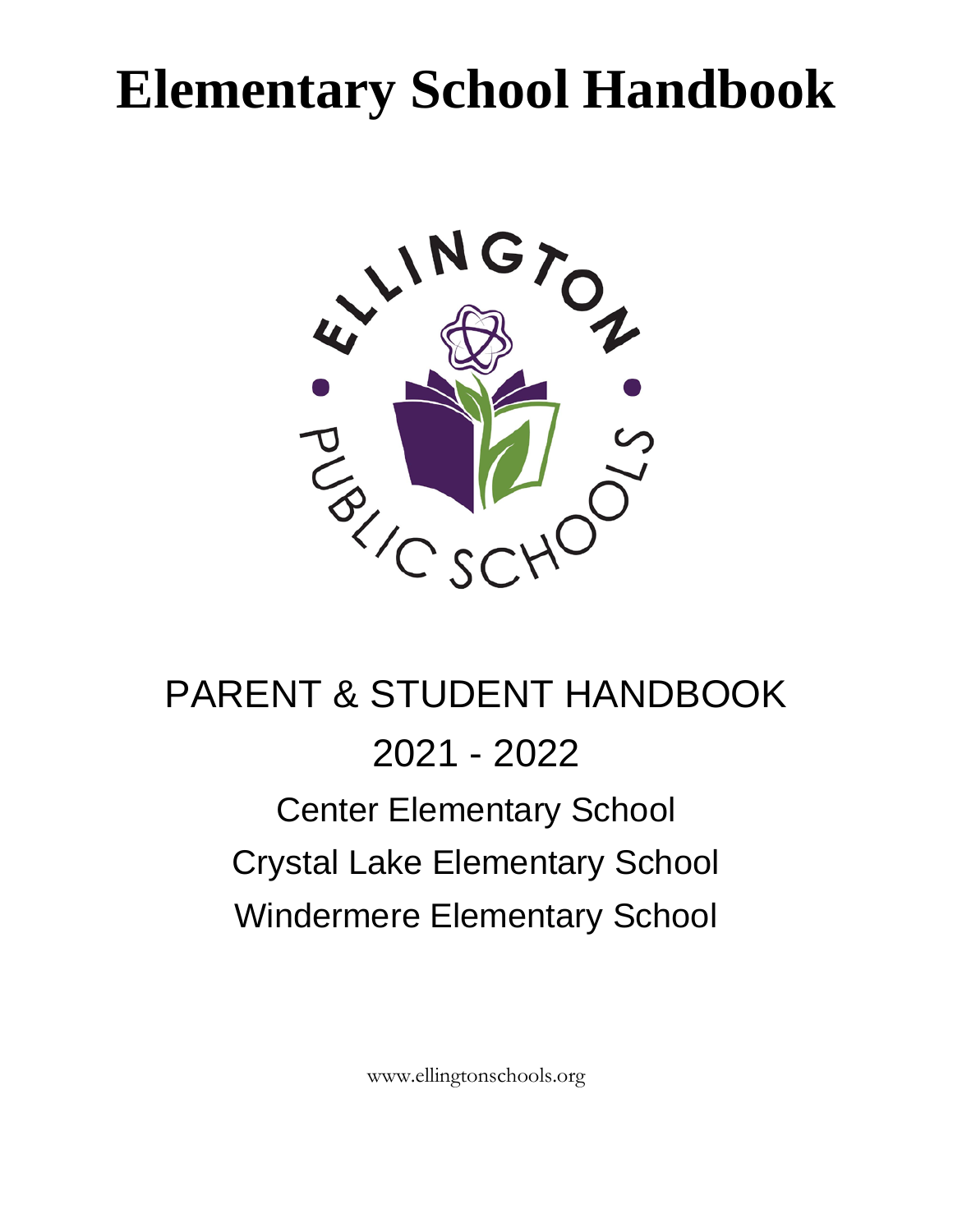# **Elementary School Handbook**



## PARENT & STUDENT HANDBOOK 2021 - 2022 Center Elementary School Crystal Lake Elementary School Windermere Elementary School

www.ellingtonschools.org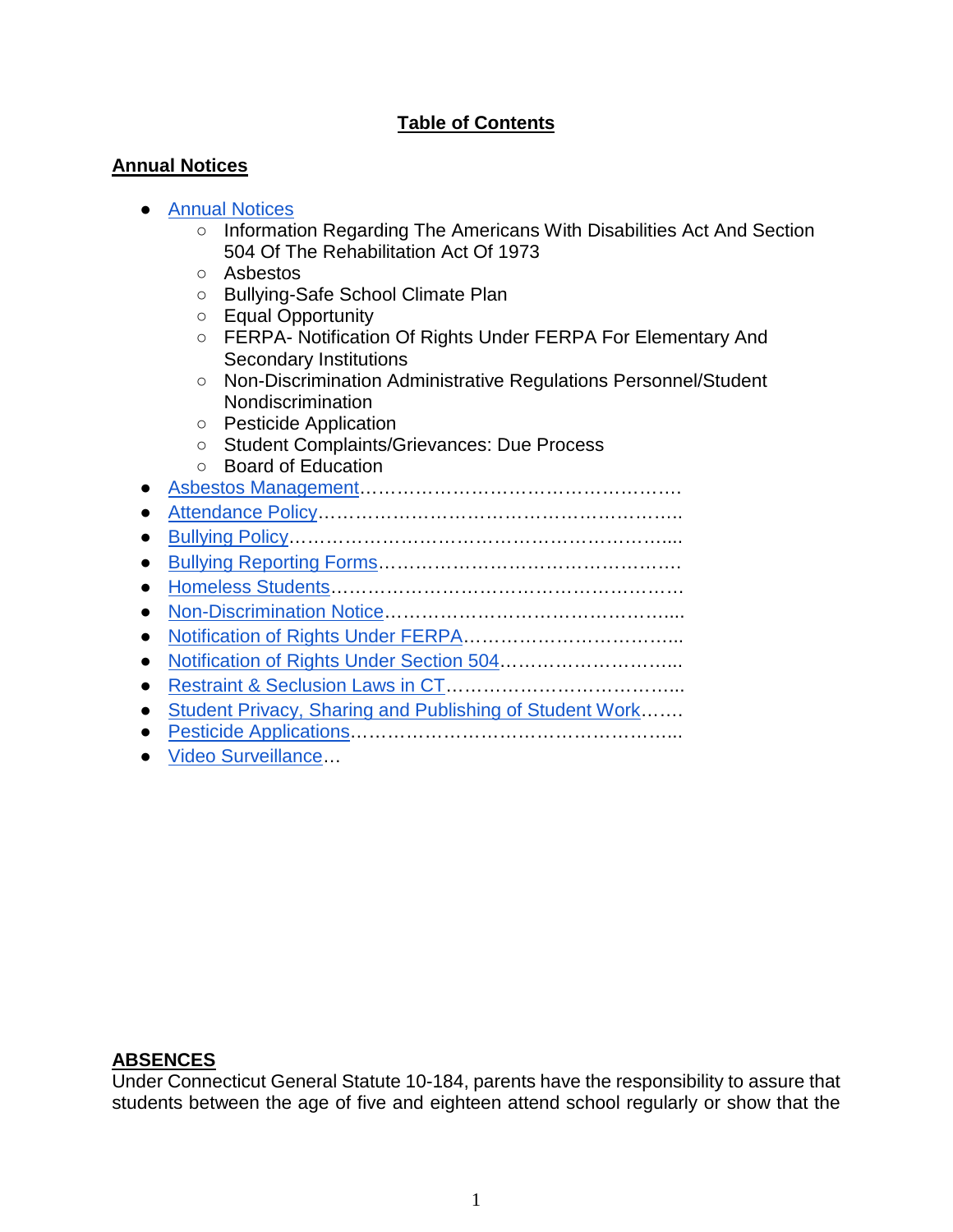## **Table of Contents**

## **Annual Notices**

- [Annual Notices](https://docs.google.com/document/d/1C2dQYqm58pOIC6tHn2vgVS6vqOCYU8Q9q48oRCBHS2g/edit#bookmark=id.48g30elsood2)
	- Information Regarding The Americans With Disabilities Act And Section 504 Of The Rehabilitation Act Of 1973
	- Asbestos
	- Bullying-Safe School Climate Plan
	- Equal Opportunity
	- FERPA- Notification Of Rights Under FERPA For Elementary And Secondary Institutions
	- Non-Discrimination Administrative Regulations Personnel/Student Nondiscrimination
	- Pesticide Application
	- Student Complaints/Grievances: Due Process
	- Board of Education
- [Asbestos Management…](https://docs.google.com/document/d/1A7udSBBbVOvRyJjtgFwg0SgRsT3ed6qEP6xFg9kYczg/edit#bookmark=id.587oorblbrvu)………………………………………….
- [Attendance Policy…](https://docs.google.com/document/d/1A7udSBBbVOvRyJjtgFwg0SgRsT3ed6qEP6xFg9kYczg/edit#bookmark=id.ohpuj8srvn0l)………………………………………………..
- [Bullying Policy…](https://docs.google.com/document/d/1A7udSBBbVOvRyJjtgFwg0SgRsT3ed6qEP6xFg9kYczg/edit#bookmark=id.d7vf3osyx790)…………………………………………………....
- [Bullying Reporting Forms…](https://docs.google.com/document/d/1A7udSBBbVOvRyJjtgFwg0SgRsT3ed6qEP6xFg9kYczg/edit#bookmark=id.k4q6zvvvi4k7)……………………………………….
- [Homeless Students…](https://docs.google.com/document/d/1A7udSBBbVOvRyJjtgFwg0SgRsT3ed6qEP6xFg9kYczg/edit#bookmark=id.nv0t95hdmzc7)………………………………………………
- [Non-Discrimination Notice…](https://docs.google.com/document/d/1A7udSBBbVOvRyJjtgFwg0SgRsT3ed6qEP6xFg9kYczg/edit#bookmark=id.xp5xllyds1aj)……………………………………....
- [Notification of Rights Under FERPA…](https://docs.google.com/document/d/1A7udSBBbVOvRyJjtgFwg0SgRsT3ed6qEP6xFg9kYczg/edit#bookmark=id.nm30vwwwjlsr)…………………………...
- [Notification of Rights Under Section 504…](https://docs.google.com/document/d/1A7udSBBbVOvRyJjtgFwg0SgRsT3ed6qEP6xFg9kYczg/edit#bookmark=id.y1wltwffh96e)……………………...
- [Restraint & Seclusion Laws in CT…](https://docs.google.com/document/d/1A7udSBBbVOvRyJjtgFwg0SgRsT3ed6qEP6xFg9kYczg/edit#bookmark=id.gjixcf762c1c)……………………………...
- [Student Privacy, Sharing and Publishing of Student Work…](https://docs.google.com/document/d/1A7udSBBbVOvRyJjtgFwg0SgRsT3ed6qEP6xFg9kYczg/edit#bookmark=id.frchvw808pfl)….
- [Pesticide Applications…](https://docs.google.com/document/d/1A7udSBBbVOvRyJjtgFwg0SgRsT3ed6qEP6xFg9kYczg/edit#bookmark=id.mpnexqn3yzai)…………………………………………...
- [Video Surveillance…](https://docs.google.com/document/d/1A7udSBBbVOvRyJjtgFwg0SgRsT3ed6qEP6xFg9kYczg/edit#bookmark=id.ov1uped0qjbn)

## **ABSENCES**

Under Connecticut General Statute 10-184, parents have the responsibility to assure that students between the age of five and eighteen attend school regularly or show that the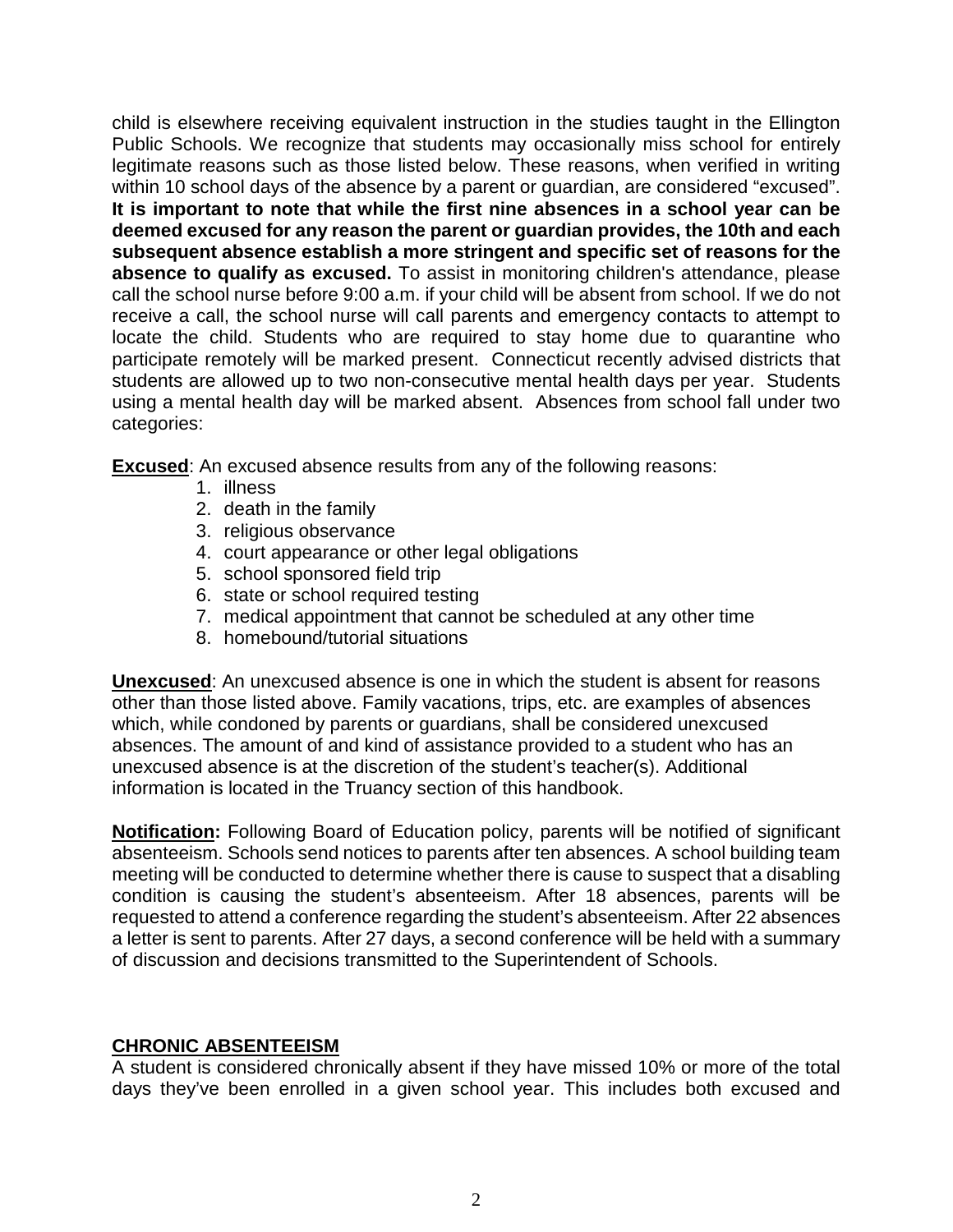child is elsewhere receiving equivalent instruction in the studies taught in the Ellington Public Schools. We recognize that students may occasionally miss school for entirely legitimate reasons such as those listed below. These reasons, when verified in writing within 10 school days of the absence by a parent or guardian, are considered "excused". **It is important to note that while the first nine absences in a school year can be deemed excused for any reason the parent or guardian provides, the 10th and each subsequent absence establish a more stringent and specific set of reasons for the absence to qualify as excused.** To assist in monitoring children's attendance, please call the school nurse before 9:00 a.m. if your child will be absent from school. If we do not receive a call, the school nurse will call parents and emergency contacts to attempt to locate the child. Students who are required to stay home due to quarantine who participate remotely will be marked present. Connecticut recently advised districts that students are allowed up to two non-consecutive mental health days per year. Students using a mental health day will be marked absent. Absences from school fall under two categories:

**Excused**: An excused absence results from any of the following reasons:

- 1. illness
- 2. death in the family
- 3. religious observance
- 4. court appearance or other legal obligations
- 5. school sponsored field trip
- 6. state or school required testing
- 7. medical appointment that cannot be scheduled at any other time
- 8. homebound/tutorial situations

**Unexcused**: An unexcused absence is one in which the student is absent for reasons other than those listed above. Family vacations, trips, etc. are examples of absences which, while condoned by parents or guardians, shall be considered unexcused absences. The amount of and kind of assistance provided to a student who has an unexcused absence is at the discretion of the student's teacher(s). Additional information is located in the Truancy section of this handbook.

**Notification:** Following Board of Education policy, parents will be notified of significant absenteeism. Schools send notices to parents after ten absences. A school building team meeting will be conducted to determine whether there is cause to suspect that a disabling condition is causing the student's absenteeism. After 18 absences, parents will be requested to attend a conference regarding the student's absenteeism. After 22 absences a letter is sent to parents. After 27 days, a second conference will be held with a summary of discussion and decisions transmitted to the Superintendent of Schools.

## **CHRONIC ABSENTEEISM**

A student is considered chronically absent if they have missed 10% or more of the total days they've been enrolled in a given school year. This includes both excused and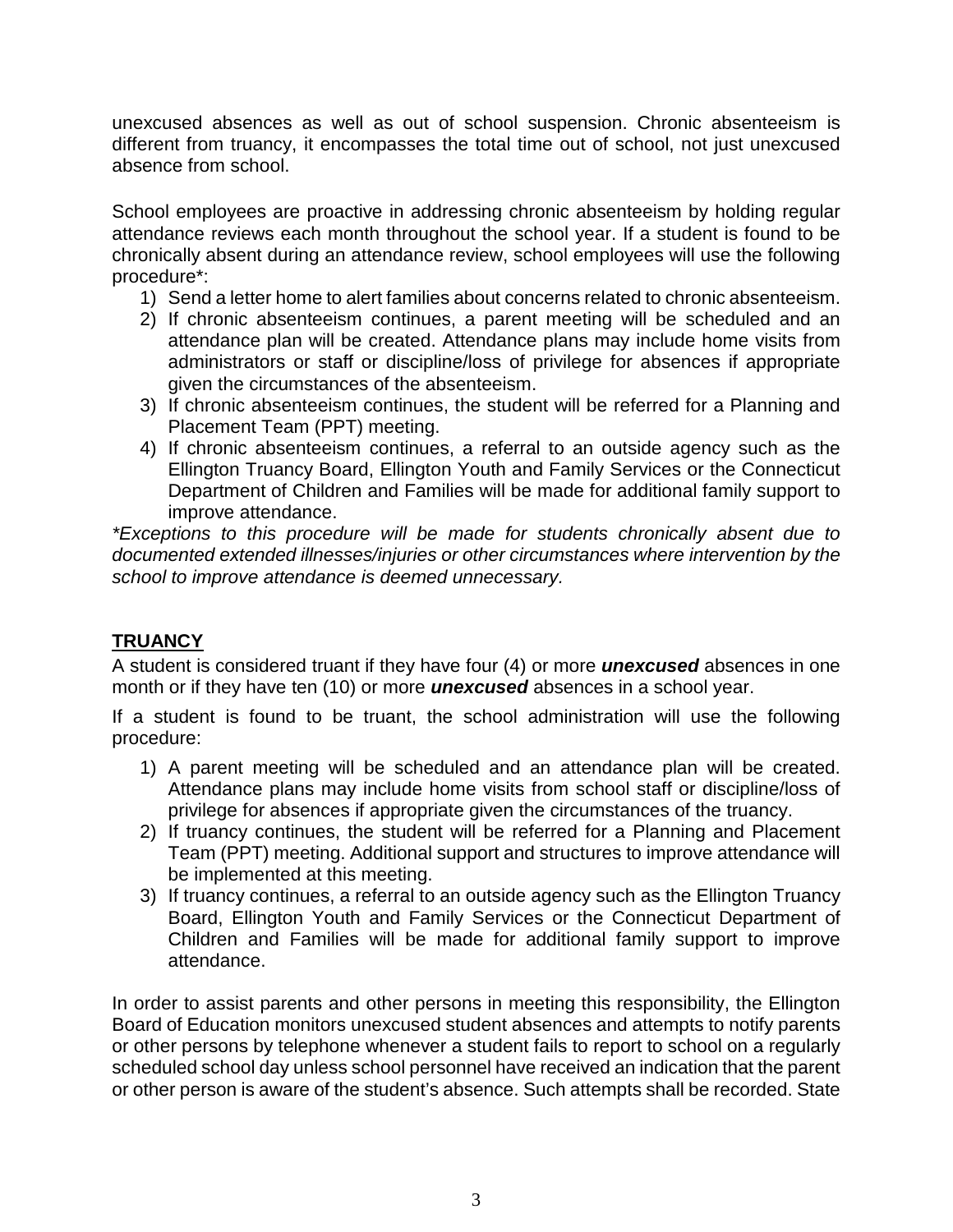unexcused absences as well as out of school suspension. Chronic absenteeism is different from truancy, it encompasses the total time out of school, not just unexcused absence from school.

School employees are proactive in addressing chronic absenteeism by holding regular attendance reviews each month throughout the school year. If a student is found to be chronically absent during an attendance review, school employees will use the following procedure\*:

- 1) Send a letter home to alert families about concerns related to chronic absenteeism.
- 2) If chronic absenteeism continues, a parent meeting will be scheduled and an attendance plan will be created. Attendance plans may include home visits from administrators or staff or discipline/loss of privilege for absences if appropriate given the circumstances of the absenteeism.
- 3) If chronic absenteeism continues, the student will be referred for a Planning and Placement Team (PPT) meeting.
- 4) If chronic absenteeism continues, a referral to an outside agency such as the Ellington Truancy Board, Ellington Youth and Family Services or the Connecticut Department of Children and Families will be made for additional family support to improve attendance.

*\*Exceptions to this procedure will be made for students chronically absent due to documented extended illnesses/injuries or other circumstances where intervention by the school to improve attendance is deemed unnecessary.*

## **TRUANCY**

A student is considered truant if they have four (4) or more *unexcused* absences in one month or if they have ten (10) or more *unexcused* absences in a school year.

If a student is found to be truant, the school administration will use the following procedure:

- 1) A parent meeting will be scheduled and an attendance plan will be created. Attendance plans may include home visits from school staff or discipline/loss of privilege for absences if appropriate given the circumstances of the truancy.
- 2) If truancy continues, the student will be referred for a Planning and Placement Team (PPT) meeting. Additional support and structures to improve attendance will be implemented at this meeting.
- 3) If truancy continues, a referral to an outside agency such as the Ellington Truancy Board, Ellington Youth and Family Services or the Connecticut Department of Children and Families will be made for additional family support to improve attendance.

In order to assist parents and other persons in meeting this responsibility, the Ellington Board of Education monitors unexcused student absences and attempts to notify parents or other persons by telephone whenever a student fails to report to school on a regularly scheduled school day unless school personnel have received an indication that the parent or other person is aware of the student's absence. Such attempts shall be recorded. State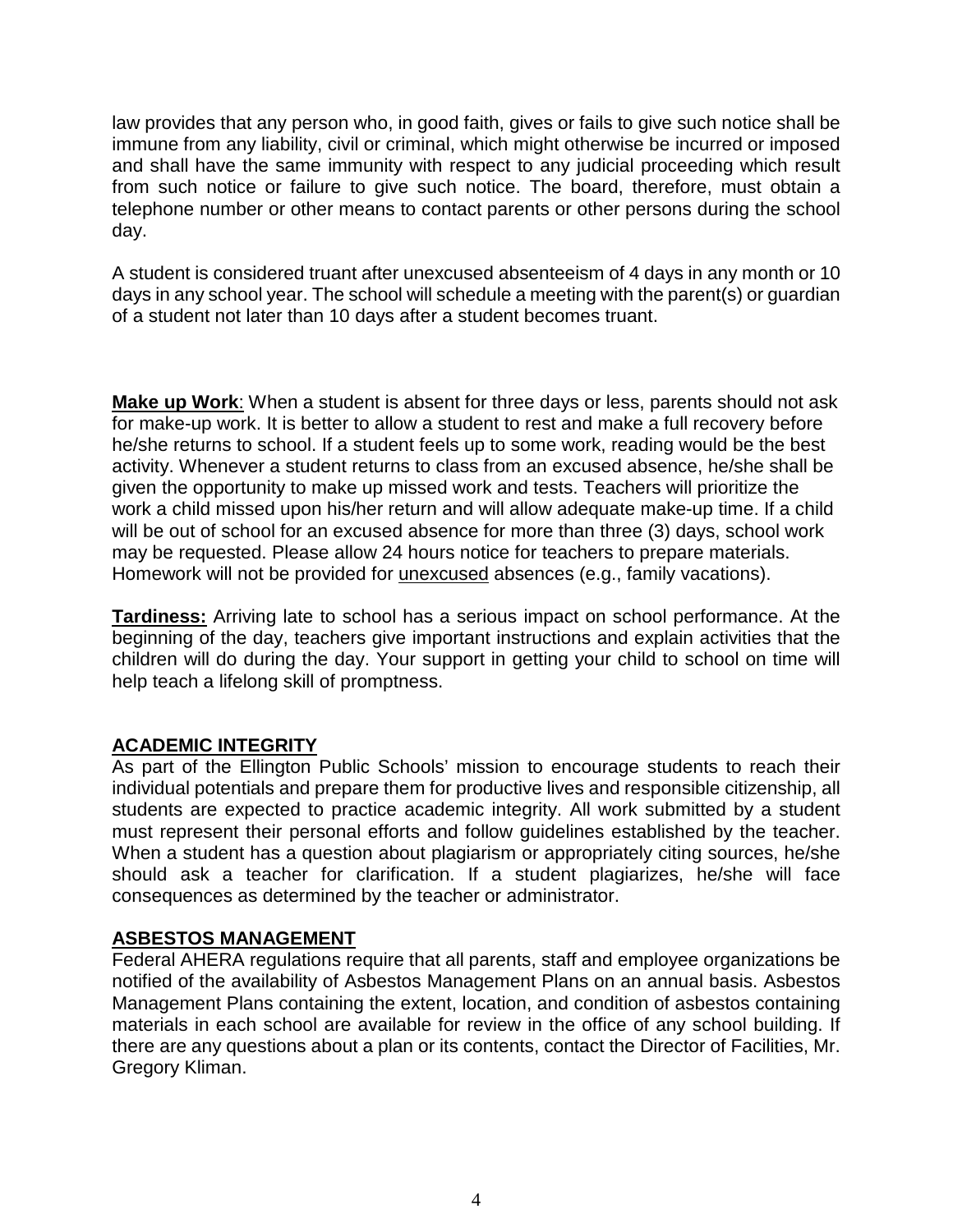law provides that any person who, in good faith, gives or fails to give such notice shall be immune from any liability, civil or criminal, which might otherwise be incurred or imposed and shall have the same immunity with respect to any judicial proceeding which result from such notice or failure to give such notice. The board, therefore, must obtain a telephone number or other means to contact parents or other persons during the school day.

A student is considered truant after unexcused absenteeism of 4 days in any month or 10 days in any school year. The school will schedule a meeting with the parent(s) or guardian of a student not later than 10 days after a student becomes truant.

**Make up Work**: When a student is absent for three days or less, parents should not ask for make-up work. It is better to allow a student to rest and make a full recovery before he/she returns to school. If a student feels up to some work, reading would be the best activity. Whenever a student returns to class from an excused absence, he/she shall be given the opportunity to make up missed work and tests. Teachers will prioritize the work a child missed upon his/her return and will allow adequate make-up time. If a child will be out of school for an excused absence for more than three (3) days, school work may be requested. Please allow 24 hours notice for teachers to prepare materials. Homework will not be provided for unexcused absences (e.g., family vacations).

**Tardiness:** Arriving late to school has a serious impact on school performance. At the beginning of the day, teachers give important instructions and explain activities that the children will do during the day. Your support in getting your child to school on time will help teach a lifelong skill of promptness.

## **ACADEMIC INTEGRITY**

As part of the Ellington Public Schools' mission to encourage students to reach their individual potentials and prepare them for productive lives and responsible citizenship, all students are expected to practice academic integrity. All work submitted by a student must represent their personal efforts and follow guidelines established by the teacher. When a student has a question about plagiarism or appropriately citing sources, he/she should ask a teacher for clarification. If a student plagiarizes, he/she will face consequences as determined by the teacher or administrator.

## **ASBESTOS MANAGEMENT**

Federal AHERA regulations require that all parents, staff and employee organizations be notified of the availability of Asbestos Management Plans on an annual basis. Asbestos Management Plans containing the extent, location, and condition of asbestos containing materials in each school are available for review in the office of any school building. If there are any questions about a plan or its contents, contact the Director of Facilities, Mr. Gregory Kliman.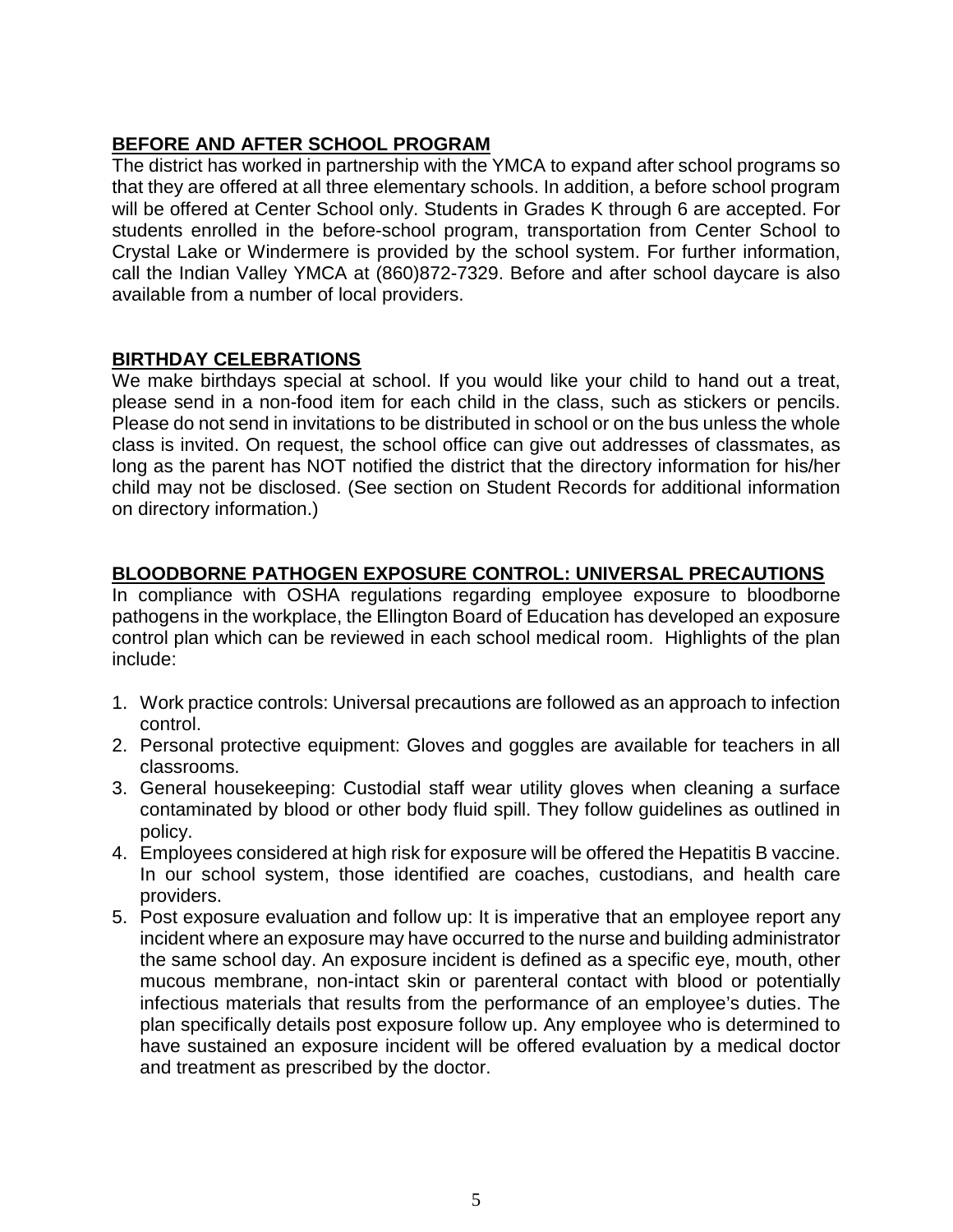## **BEFORE AND AFTER SCHOOL PROGRAM**

The district has worked in partnership with the YMCA to expand after school programs so that they are offered at all three elementary schools. In addition, a before school program will be offered at Center School only. Students in Grades K through 6 are accepted. For students enrolled in the before-school program, transportation from Center School to Crystal Lake or Windermere is provided by the school system. For further information, call the Indian Valley YMCA at (860)872-7329. Before and after school daycare is also available from a number of local providers.

## **BIRTHDAY CELEBRATIONS**

We make birthdays special at school. If you would like your child to hand out a treat, please send in a non-food item for each child in the class, such as stickers or pencils. Please do not send in invitations to be distributed in school or on the bus unless the whole class is invited. On request, the school office can give out addresses of classmates, as long as the parent has NOT notified the district that the directory information for his/her child may not be disclosed. (See section on Student Records for additional information on directory information.)

## **BLOODBORNE PATHOGEN EXPOSURE CONTROL: UNIVERSAL PRECAUTIONS**

In compliance with OSHA regulations regarding employee exposure to bloodborne pathogens in the workplace, the Ellington Board of Education has developed an exposure control plan which can be reviewed in each school medical room. Highlights of the plan include:

- 1. Work practice controls: Universal precautions are followed as an approach to infection control.
- 2. Personal protective equipment: Gloves and goggles are available for teachers in all classrooms.
- 3. General housekeeping: Custodial staff wear utility gloves when cleaning a surface contaminated by blood or other body fluid spill. They follow guidelines as outlined in policy.
- 4. Employees considered at high risk for exposure will be offered the Hepatitis B vaccine. In our school system, those identified are coaches, custodians, and health care providers.
- 5. Post exposure evaluation and follow up: It is imperative that an employee report any incident where an exposure may have occurred to the nurse and building administrator the same school day. An exposure incident is defined as a specific eye, mouth, other mucous membrane, non-intact skin or parenteral contact with blood or potentially infectious materials that results from the performance of an employee's duties. The plan specifically details post exposure follow up. Any employee who is determined to have sustained an exposure incident will be offered evaluation by a medical doctor and treatment as prescribed by the doctor.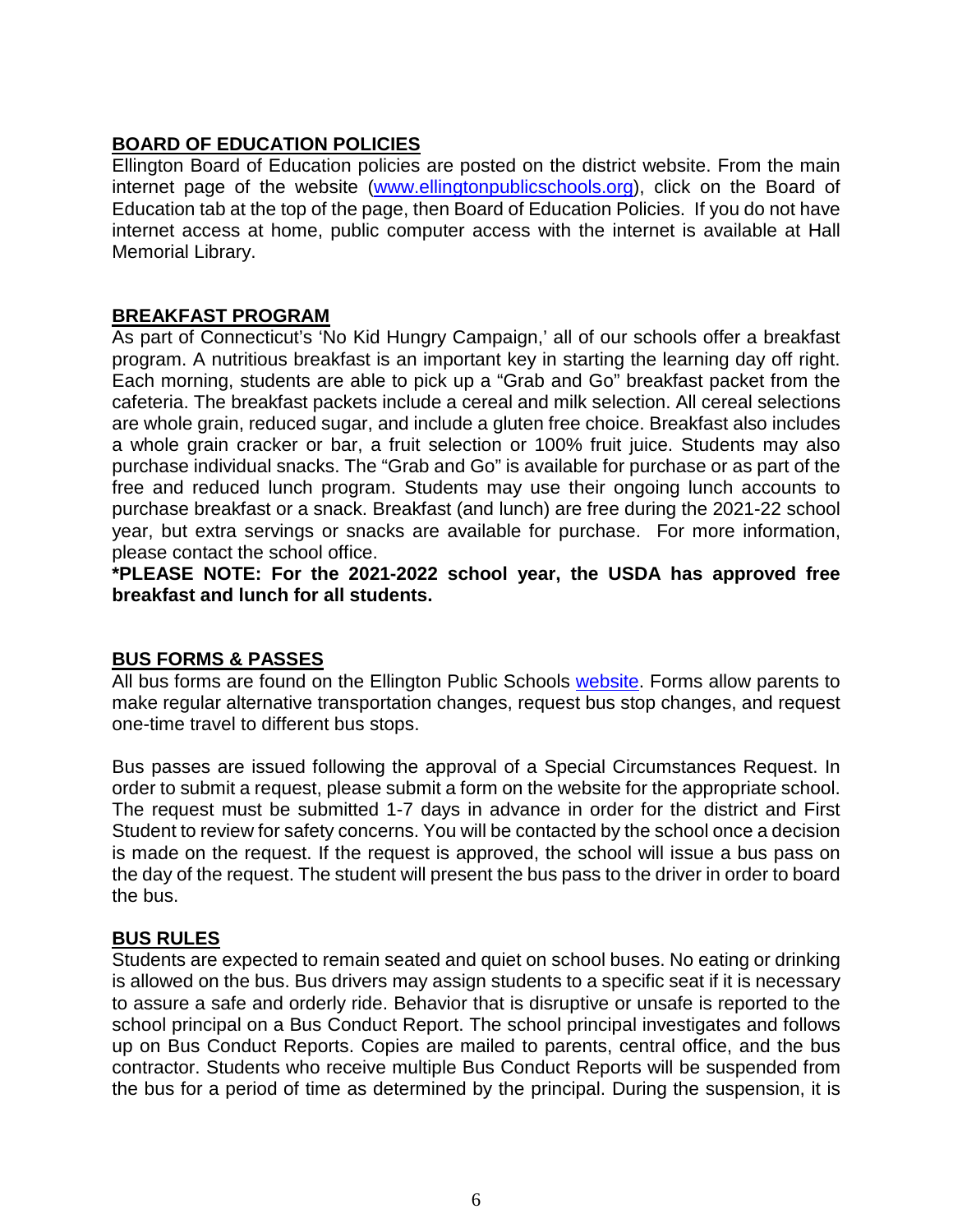## **BOARD OF EDUCATION POLICIES**

Ellington Board of Education policies are posted on the district website. From the main internet page of the website [\(www.ellingtonpublicschools.org\)](http://www.ellingtonschools.org/), click on the Board of Education tab at the top of the page, then Board of Education Policies. If you do not have internet access at home, public computer access with the internet is available at Hall Memorial Library.

## **BREAKFAST PROGRAM**

As part of Connecticut's 'No Kid Hungry Campaign,' all of our schools offer a breakfast program. A nutritious breakfast is an important key in starting the learning day off right. Each morning, students are able to pick up a "Grab and Go" breakfast packet from the cafeteria. The breakfast packets include a cereal and milk selection. All cereal selections are whole grain, reduced sugar, and include a gluten free choice. Breakfast also includes a whole grain cracker or bar, a fruit selection or 100% fruit juice. Students may also purchase individual snacks. The "Grab and Go" is available for purchase or as part of the free and reduced lunch program. Students may use their ongoing lunch accounts to purchase breakfast or a snack. Breakfast (and lunch) are free during the 2021-22 school year, but extra servings or snacks are available for purchase. For more information, please contact the school office.

**\*PLEASE NOTE: For the 2021-2022 school year, the USDA has approved free breakfast and lunch for all students.**

## **BUS FORMS & PASSES**

All bus forms are found on the Ellington Public Schools [website.](https://linkprotect.cudasvc.com/url?a=http://www.ellingtonpublicschools.org/parents/transportation&c=E,1,RoUklUI9vngvar21d5kKaQIYxyAAfkNY-qb2DedjEOrbkxIlBod80NfwRmx96ujibgHUMv3CUP93tsVcYTLVcMLLgEInJbDMMCBHoScDu-jBAiowUaw,&typo=1) Forms allow parents to make regular alternative transportation changes, request bus stop changes, and request one-time travel to different bus stops.

Bus passes are issued following the approval of a Special Circumstances Request. In order to submit a request, please submit a form on the website for the appropriate school. The request must be submitted 1-7 days in advance in order for the district and First Student to review for safety concerns. You will be contacted by the school once a decision is made on the request. If the request is approved, the school will issue a bus pass on the day of the request. The student will present the bus pass to the driver in order to board the bus.

## **BUS RULES**

Students are expected to remain seated and quiet on school buses. No eating or drinking is allowed on the bus. Bus drivers may assign students to a specific seat if it is necessary to assure a safe and orderly ride. Behavior that is disruptive or unsafe is reported to the school principal on a Bus Conduct Report. The school principal investigates and follows up on Bus Conduct Reports. Copies are mailed to parents, central office, and the bus contractor. Students who receive multiple Bus Conduct Reports will be suspended from the bus for a period of time as determined by the principal. During the suspension, it is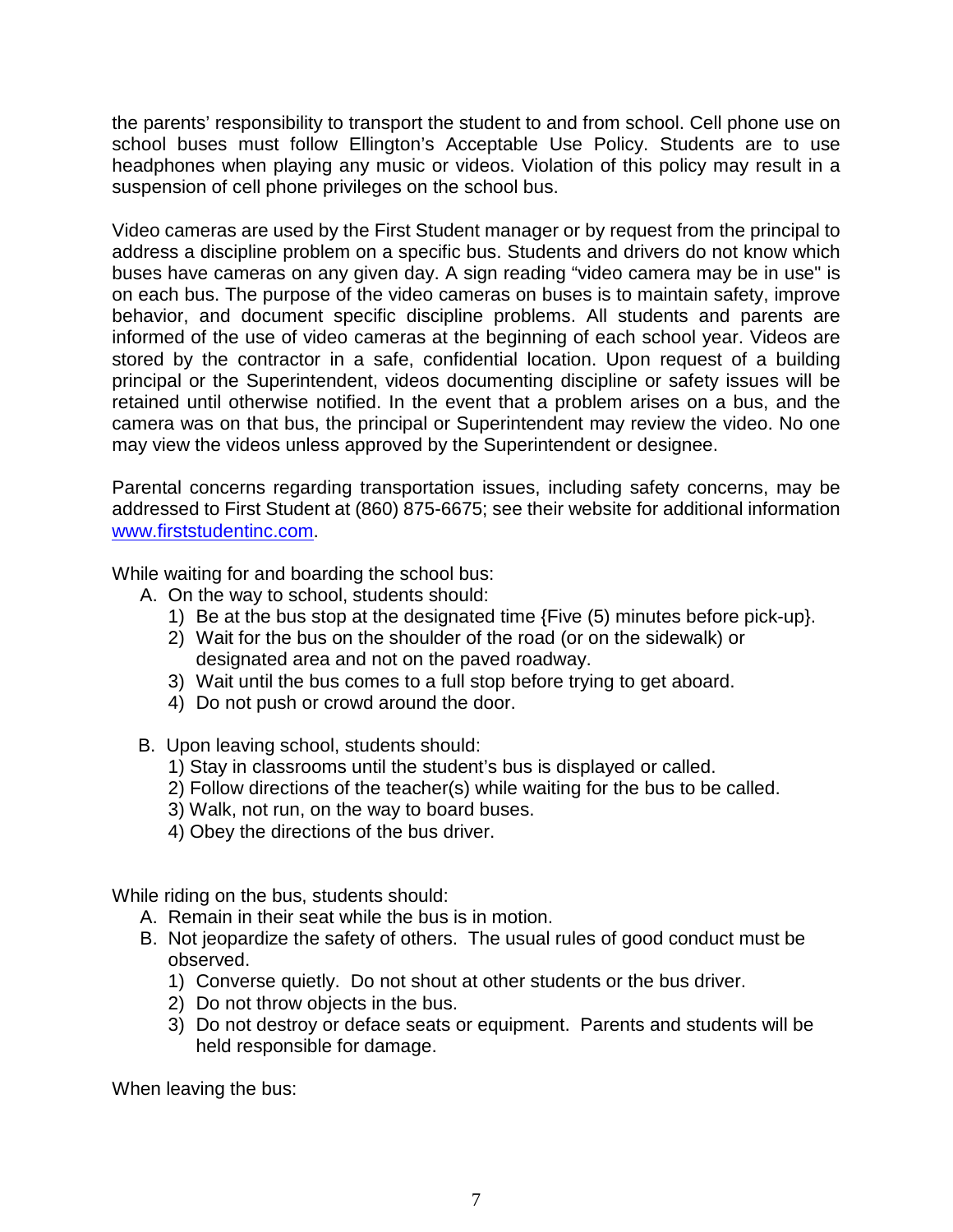the parents' responsibility to transport the student to and from school. Cell phone use on school buses must follow Ellington's Acceptable Use Policy. Students are to use headphones when playing any music or videos. Violation of this policy may result in a suspension of cell phone privileges on the school bus.

Video cameras are used by the First Student manager or by request from the principal to address a discipline problem on a specific bus. Students and drivers do not know which buses have cameras on any given day. A sign reading "video camera may be in use" is on each bus. The purpose of the video cameras on buses is to maintain safety, improve behavior, and document specific discipline problems. All students and parents are informed of the use of video cameras at the beginning of each school year. Videos are stored by the contractor in a safe, confidential location. Upon request of a building principal or the Superintendent, videos documenting discipline or safety issues will be retained until otherwise notified. In the event that a problem arises on a bus, and the camera was on that bus, the principal or Superintendent may review the video. No one may view the videos unless approved by the Superintendent or designee.

Parental concerns regarding transportation issues, including safety concerns, may be addressed to First Student at (860) 875-6675; see their website for additional information [www.firststudentinc.com.](https://linkprotect.cudasvc.com/url?a=http://www.firststudentinc.com&c=E,1,NNY6OKCBqnUZSyTjjsnCyxpyG3P2p-iJcdSo1sAqNCLs_ye9UKT4g3RUAJwpHm2stlHd4XoXUQDyCWP7oo2tqJN8VyMWQ5y8w5FJhITWcF2bNg,,&typo=1)

While waiting for and boarding the school bus:

- A. On the way to school, students should:
	- 1) Be at the bus stop at the designated time {Five (5) minutes before pick-up}.
	- 2) Wait for the bus on the shoulder of the road (or on the sidewalk) or designated area and not on the paved roadway.
	- 3) Wait until the bus comes to a full stop before trying to get aboard.
	- 4) Do not push or crowd around the door.
- B. Upon leaving school, students should:
	- 1) Stay in classrooms until the student's bus is displayed or called.
	- 2) Follow directions of the teacher(s) while waiting for the bus to be called.
	- 3) Walk, not run, on the way to board buses.
	- 4) Obey the directions of the bus driver.

While riding on the bus, students should:

- A. Remain in their seat while the bus is in motion.
- B. Not jeopardize the safety of others. The usual rules of good conduct must be observed.
	- 1) Converse quietly. Do not shout at other students or the bus driver.
	- 2) Do not throw objects in the bus.
	- 3) Do not destroy or deface seats or equipment. Parents and students will be held responsible for damage.

When leaving the bus: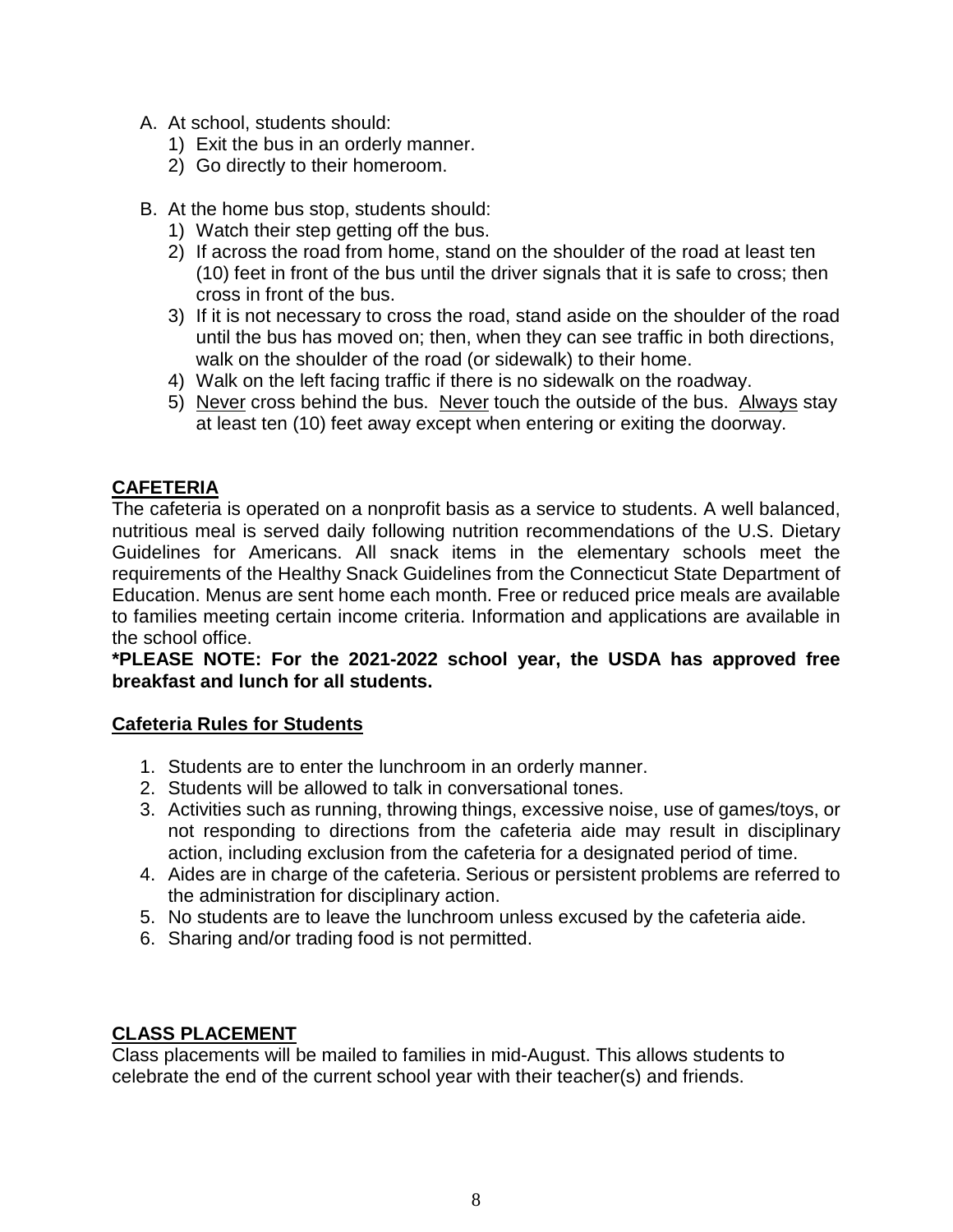- A. At school, students should:
	- 1) Exit the bus in an orderly manner.
	- 2) Go directly to their homeroom.
- B. At the home bus stop, students should:
	- 1) Watch their step getting off the bus.
	- 2) If across the road from home, stand on the shoulder of the road at least ten (10) feet in front of the bus until the driver signals that it is safe to cross; then cross in front of the bus.
	- 3) If it is not necessary to cross the road, stand aside on the shoulder of the road until the bus has moved on; then, when they can see traffic in both directions, walk on the shoulder of the road (or sidewalk) to their home.
	- 4) Walk on the left facing traffic if there is no sidewalk on the roadway.
	- 5) Never cross behind the bus. Never touch the outside of the bus. Always stay at least ten (10) feet away except when entering or exiting the doorway.

## **CAFETERIA**

The cafeteria is operated on a nonprofit basis as a service to students. A well balanced, nutritious meal is served daily following nutrition recommendations of the U.S. Dietary Guidelines for Americans. All snack items in the elementary schools meet the requirements of the Healthy Snack Guidelines from the Connecticut State Department of Education. Menus are sent home each month. Free or reduced price meals are available to families meeting certain income criteria. Information and applications are available in the school office.

**\*PLEASE NOTE: For the 2021-2022 school year, the USDA has approved free breakfast and lunch for all students.**

## **Cafeteria Rules for Students**

- 1. Students are to enter the lunchroom in an orderly manner.
- 2. Students will be allowed to talk in conversational tones.
- 3. Activities such as running, throwing things, excessive noise, use of games/toys, or not responding to directions from the cafeteria aide may result in disciplinary action, including exclusion from the cafeteria for a designated period of time.
- 4. Aides are in charge of the cafeteria. Serious or persistent problems are referred to the administration for disciplinary action.
- 5. No students are to leave the lunchroom unless excused by the cafeteria aide.
- 6. Sharing and/or trading food is not permitted.

## **CLASS PLACEMENT**

Class placements will be mailed to families in mid-August. This allows students to celebrate the end of the current school year with their teacher(s) and friends.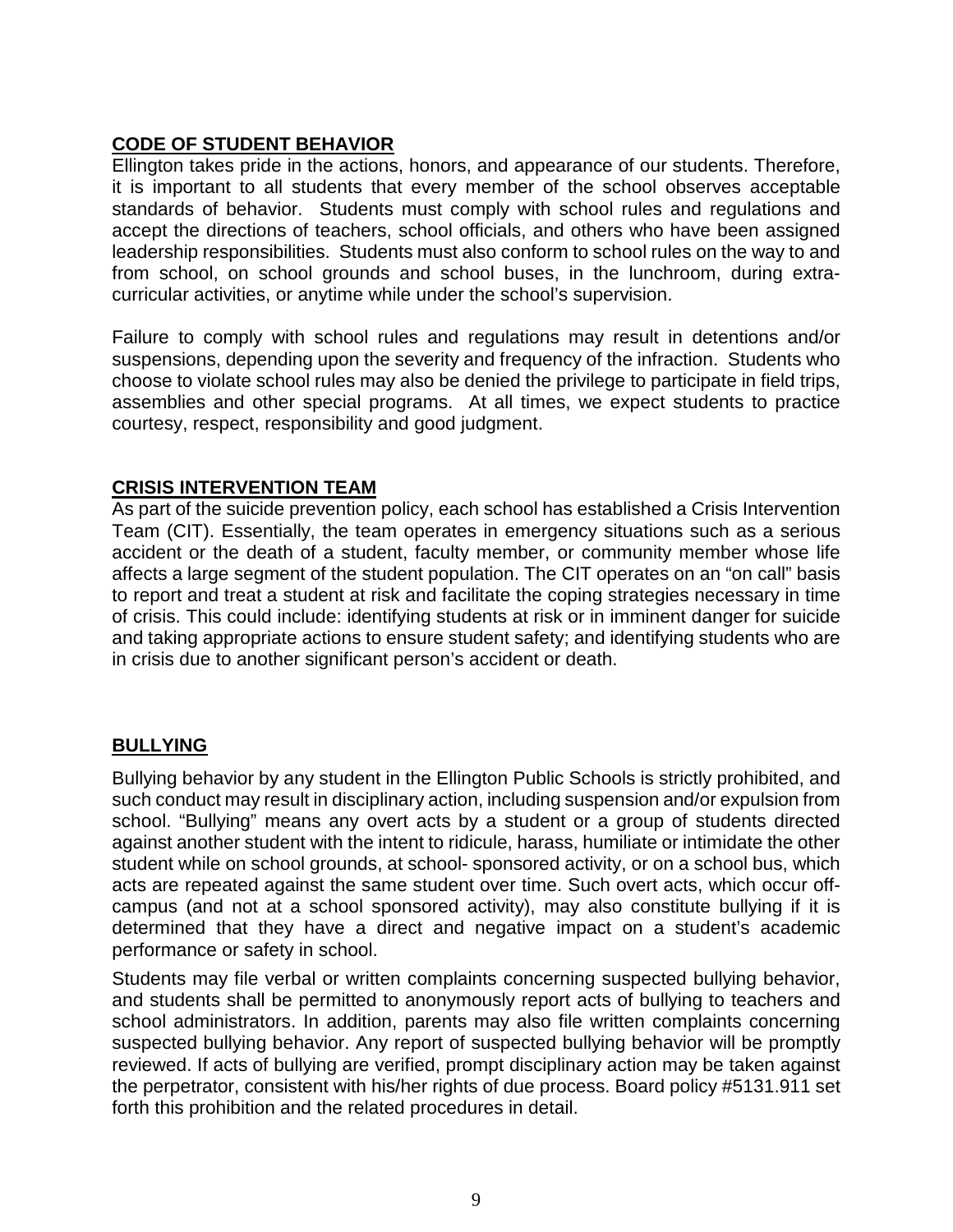## **CODE OF STUDENT BEHAVIOR**

Ellington takes pride in the actions, honors, and appearance of our students. Therefore, it is important to all students that every member of the school observes acceptable standards of behavior. Students must comply with school rules and regulations and accept the directions of teachers, school officials, and others who have been assigned leadership responsibilities. Students must also conform to school rules on the way to and from school, on school grounds and school buses, in the lunchroom, during extracurricular activities, or anytime while under the school's supervision.

Failure to comply with school rules and regulations may result in detentions and/or suspensions, depending upon the severity and frequency of the infraction. Students who choose to violate school rules may also be denied the privilege to participate in field trips, assemblies and other special programs. At all times, we expect students to practice courtesy, respect, responsibility and good judgment.

## **CRISIS INTERVENTION TEAM**

As part of the suicide prevention policy, each school has established a Crisis Intervention Team (CIT). Essentially, the team operates in emergency situations such as a serious accident or the death of a student, faculty member, or community member whose life affects a large segment of the student population. The CIT operates on an "on call" basis to report and treat a student at risk and facilitate the coping strategies necessary in time of crisis. This could include: identifying students at risk or in imminent danger for suicide and taking appropriate actions to ensure student safety; and identifying students who are in crisis due to another significant person's accident or death.

## **BULLYING**

Bullying behavior by any student in the Ellington Public Schools is strictly prohibited, and such conduct may result in disciplinary action, including suspension and/or expulsion from school. "Bullying" means any overt acts by a student or a group of students directed against another student with the intent to ridicule, harass, humiliate or intimidate the other student while on school grounds, at school- sponsored activity, or on a school bus, which acts are repeated against the same student over time. Such overt acts, which occur offcampus (and not at a school sponsored activity), may also constitute bullying if it is determined that they have a direct and negative impact on a student's academic performance or safety in school.

Students may file verbal or written complaints concerning suspected bullying behavior, and students shall be permitted to anonymously report acts of bullying to teachers and school administrators. In addition, parents may also file written complaints concerning suspected bullying behavior. Any report of suspected bullying behavior will be promptly reviewed. If acts of bullying are verified, prompt disciplinary action may be taken against the perpetrator, consistent with his/her rights of due process. Board policy #5131.911 set forth this prohibition and the related procedures in detail.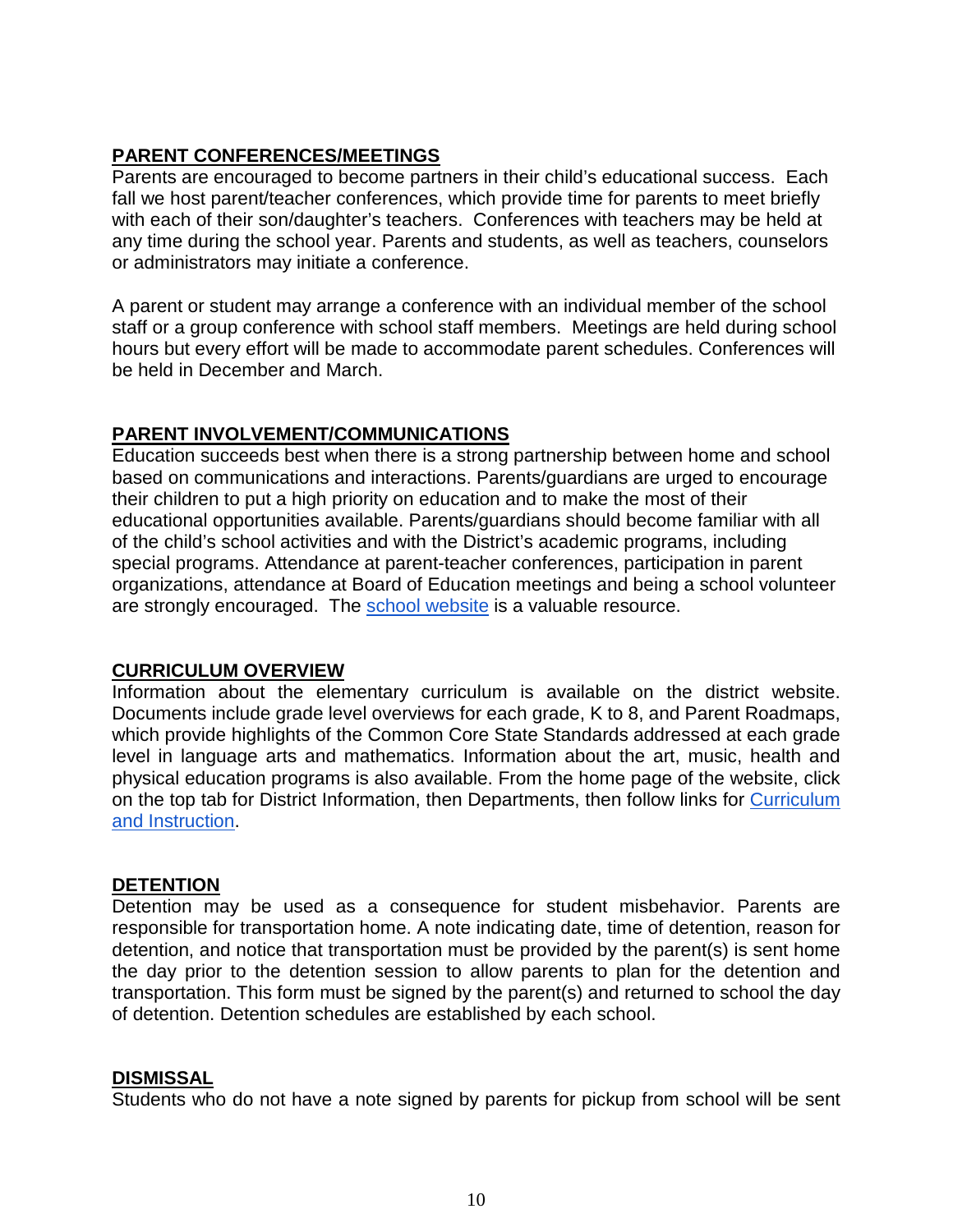## **PARENT CONFERENCES/MEETINGS**

Parents are encouraged to become partners in their child's educational success. Each fall we host parent/teacher conferences, which provide time for parents to meet briefly with each of their son/daughter's teachers. Conferences with teachers may be held at any time during the school year. Parents and students, as well as teachers, counselors or administrators may initiate a conference.

A parent or student may arrange a conference with an individual member of the school staff or a group conference with school staff members. Meetings are held during school hours but every effort will be made to accommodate parent schedules. Conferences will be held in December and March.

## **PARENT INVOLVEMENT/COMMUNICATIONS**

Education succeeds best when there is a strong partnership between home and school based on communications and interactions. Parents/guardians are urged to encourage their children to put a high priority on education and to make the most of their educational opportunities available. Parents/guardians should become familiar with all of the child's school activities and with the District's academic programs, including special programs. Attendance at parent-teacher conferences, participation in parent organizations, attendance at Board of Education meetings and being a school volunteer are strongly encouraged. The [school website](https://www.ellingtonpublicschools.org/schools/ellington-high-school) is a valuable resource.

## **CURRICULUM OVERVIEW**

Information about the elementary curriculum is available on the district website. Documents include grade level overviews for each grade, K to 8, and Parent Roadmaps, which provide highlights of the Common Core State Standards addressed at each grade level in language arts and mathematics. Information about the art, music, health and physical education programs is also available. From the home page of the website, click on the top tab for District Information, then Departments, then follow links for [Curriculum](https://www.ellingtonpublicschools.org/district-information/academics-student-achievement)  [and Instruction.](https://www.ellingtonpublicschools.org/district-information/academics-student-achievement)

## **DETENTION**

Detention may be used as a consequence for student misbehavior. Parents are responsible for transportation home. A note indicating date, time of detention, reason for detention, and notice that transportation must be provided by the parent(s) is sent home the day prior to the detention session to allow parents to plan for the detention and transportation. This form must be signed by the parent(s) and returned to school the day of detention. Detention schedules are established by each school.

## **DISMISSAL**

Students who do not have a note signed by parents for pickup from school will be sent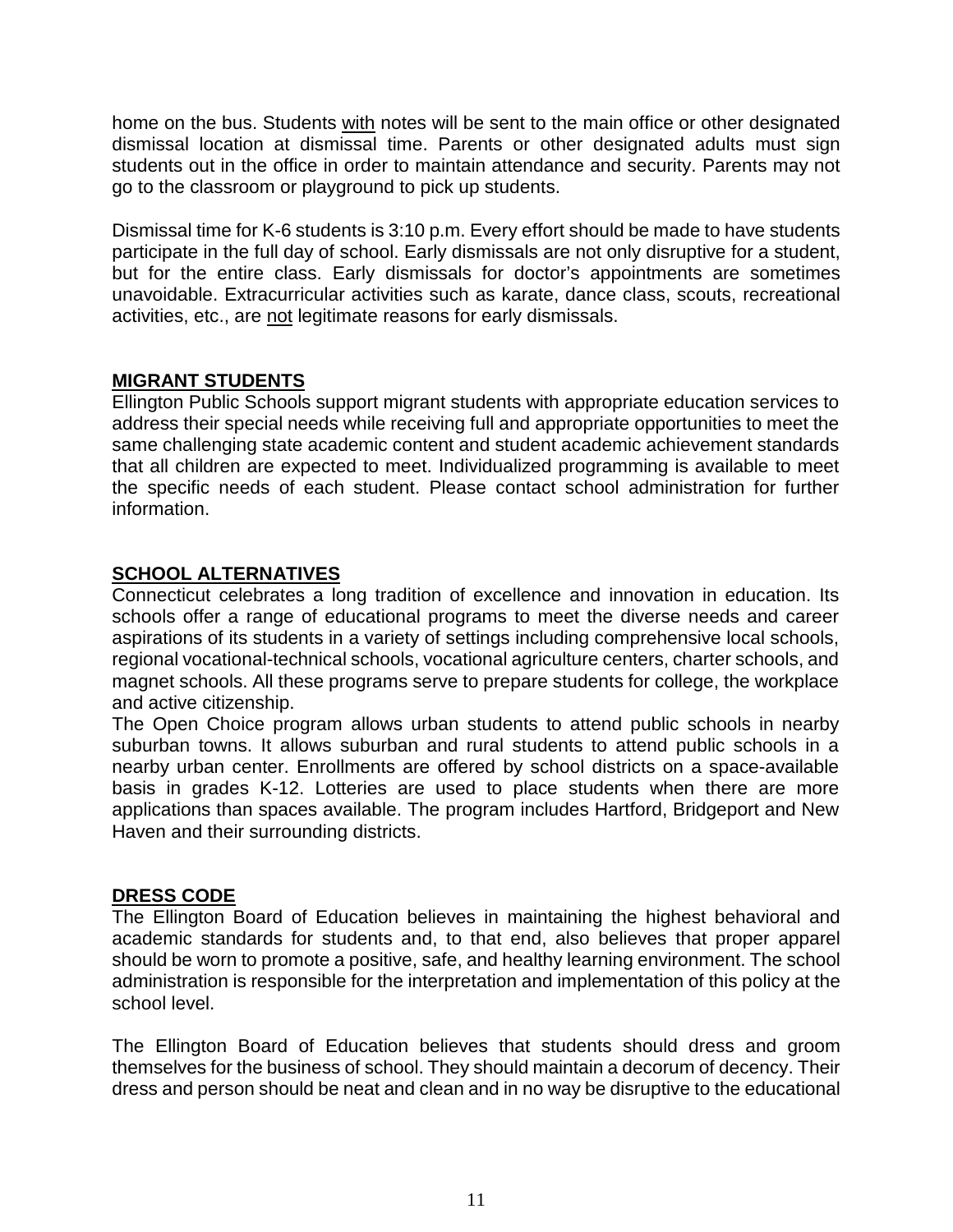home on the bus. Students with notes will be sent to the main office or other designated dismissal location at dismissal time. Parents or other designated adults must sign students out in the office in order to maintain attendance and security. Parents may not go to the classroom or playground to pick up students.

Dismissal time for K-6 students is 3:10 p.m. Every effort should be made to have students participate in the full day of school. Early dismissals are not only disruptive for a student, but for the entire class. Early dismissals for doctor's appointments are sometimes unavoidable. Extracurricular activities such as karate, dance class, scouts, recreational activities, etc., are not legitimate reasons for early dismissals.

## **MIGRANT STUDENTS**

Ellington Public Schools support migrant students with appropriate education services to address their special needs while receiving full and appropriate opportunities to meet the same challenging state academic content and student academic achievement standards that all children are expected to meet. Individualized programming is available to meet the specific needs of each student. Please contact school administration for further information.

## **SCHOOL ALTERNATIVES**

Connecticut celebrates a long tradition of excellence and innovation in education. Its schools offer a range of educational programs to meet the diverse needs and career aspirations of its students in a variety of settings including comprehensive local schools, regional vocational-technical schools, vocational agriculture centers, charter schools, and magnet schools. All these programs serve to prepare students for college, the workplace and active citizenship.

The Open Choice program allows urban students to attend public schools in nearby suburban towns. It allows suburban and rural students to attend public schools in a nearby urban center. Enrollments are offered by school districts on a space-available basis in grades K-12. Lotteries are used to place students when there are more applications than spaces available. The program includes Hartford, Bridgeport and New Haven and their surrounding districts.

## **DRESS CODE**

The Ellington Board of Education believes in maintaining the highest behavioral and academic standards for students and, to that end, also believes that proper apparel should be worn to promote a positive, safe, and healthy learning environment. The school administration is responsible for the interpretation and implementation of this policy at the school level.

The Ellington Board of Education believes that students should dress and groom themselves for the business of school. They should maintain a decorum of decency. Their dress and person should be neat and clean and in no way be disruptive to the educational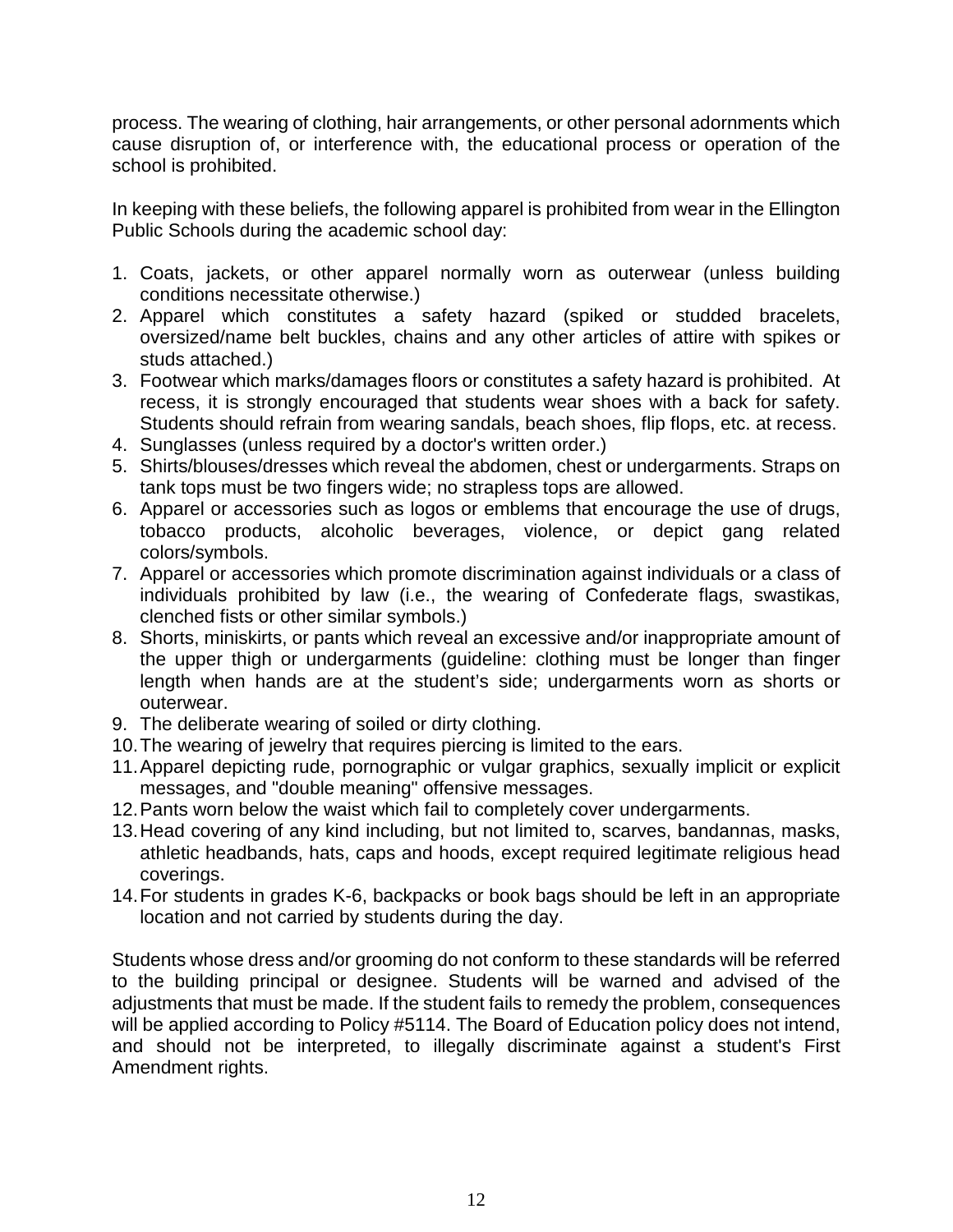process. The wearing of clothing, hair arrangements, or other personal adornments which cause disruption of, or interference with, the educational process or operation of the school is prohibited.

In keeping with these beliefs, the following apparel is prohibited from wear in the Ellington Public Schools during the academic school day:

- 1. Coats, jackets, or other apparel normally worn as outerwear (unless building conditions necessitate otherwise.)
- 2. Apparel which constitutes a safety hazard (spiked or studded bracelets, oversized/name belt buckles, chains and any other articles of attire with spikes or studs attached.)
- 3. Footwear which marks/damages floors or constitutes a safety hazard is prohibited. At recess, it is strongly encouraged that students wear shoes with a back for safety. Students should refrain from wearing sandals, beach shoes, flip flops, etc. at recess.
- 4. Sunglasses (unless required by a doctor's written order.)
- 5. Shirts/blouses/dresses which reveal the abdomen, chest or undergarments. Straps on tank tops must be two fingers wide; no strapless tops are allowed.
- 6. Apparel or accessories such as logos or emblems that encourage the use of drugs, tobacco products, alcoholic beverages, violence, or depict gang related colors/symbols.
- 7. Apparel or accessories which promote discrimination against individuals or a class of individuals prohibited by law (i.e., the wearing of Confederate flags, swastikas, clenched fists or other similar symbols.)
- 8. Shorts, miniskirts, or pants which reveal an excessive and/or inappropriate amount of the upper thigh or undergarments (guideline: clothing must be longer than finger length when hands are at the student's side; undergarments worn as shorts or outerwear.
- 9. The deliberate wearing of soiled or dirty clothing.
- 10.The wearing of jewelry that requires piercing is limited to the ears.
- 11.Apparel depicting rude, pornographic or vulgar graphics, sexually implicit or explicit messages, and "double meaning" offensive messages.
- 12.Pants worn below the waist which fail to completely cover undergarments.
- 13.Head covering of any kind including, but not limited to, scarves, bandannas, masks, athletic headbands, hats, caps and hoods, except required legitimate religious head coverings.
- 14.For students in grades K-6, backpacks or book bags should be left in an appropriate location and not carried by students during the day.

Students whose dress and/or grooming do not conform to these standards will be referred to the building principal or designee. Students will be warned and advised of the adjustments that must be made. If the student fails to remedy the problem, consequences will be applied according to Policy #5114. The Board of Education policy does not intend, and should not be interpreted, to illegally discriminate against a student's First Amendment rights.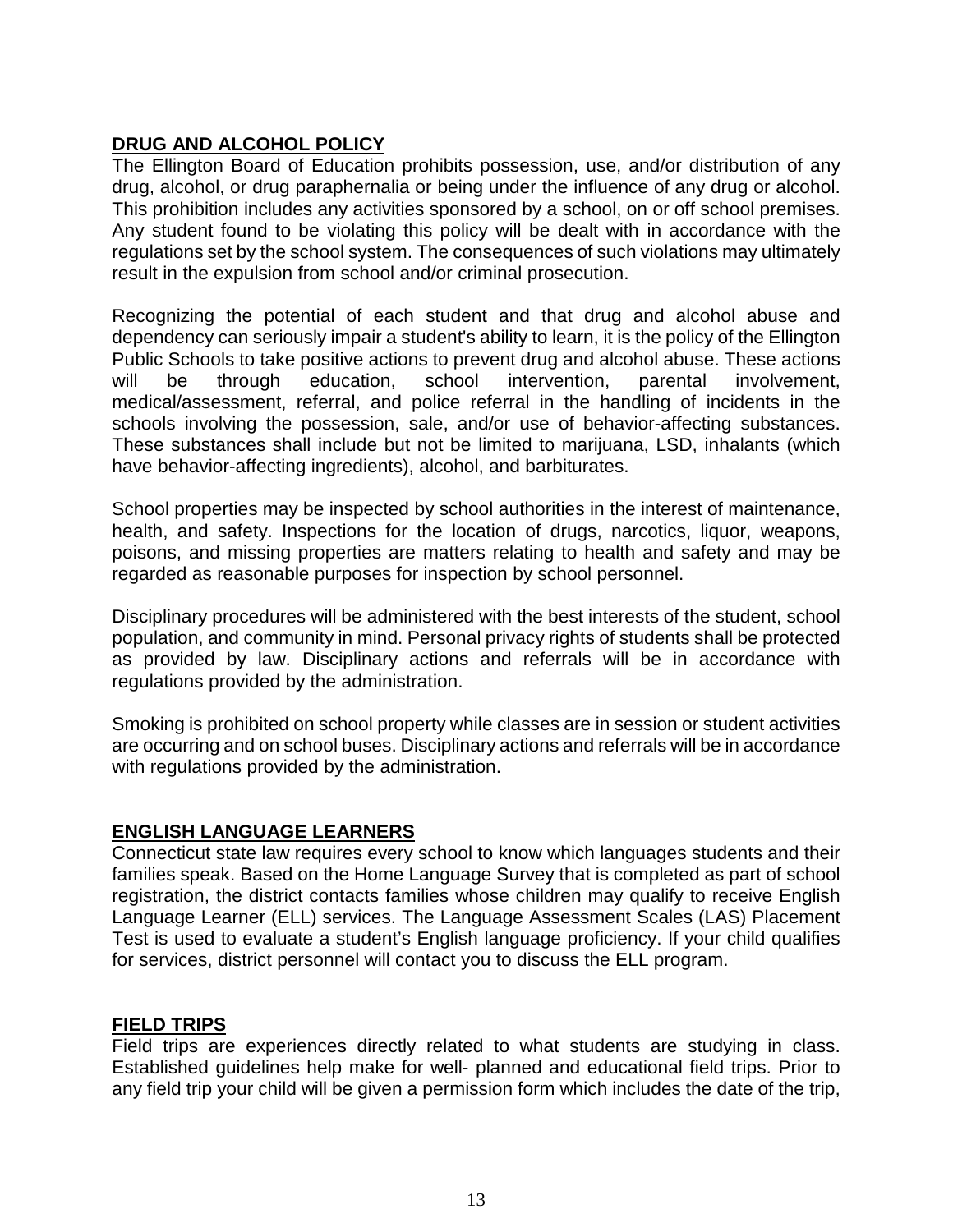## **DRUG AND ALCOHOL POLICY**

The Ellington Board of Education prohibits possession, use, and/or distribution of any drug, alcohol, or drug paraphernalia or being under the influence of any drug or alcohol. This prohibition includes any activities sponsored by a school, on or off school premises. Any student found to be violating this policy will be dealt with in accordance with the regulations set by the school system. The consequences of such violations may ultimately result in the expulsion from school and/or criminal prosecution.

Recognizing the potential of each student and that drug and alcohol abuse and dependency can seriously impair a student's ability to learn, it is the policy of the Ellington Public Schools to take positive actions to prevent drug and alcohol abuse. These actions will be through education, school intervention, parental involvement, medical/assessment, referral, and police referral in the handling of incidents in the schools involving the possession, sale, and/or use of behavior-affecting substances. These substances shall include but not be limited to marijuana, LSD, inhalants (which have behavior-affecting ingredients), alcohol, and barbiturates.

School properties may be inspected by school authorities in the interest of maintenance, health, and safety. Inspections for the location of drugs, narcotics, liquor, weapons, poisons, and missing properties are matters relating to health and safety and may be regarded as reasonable purposes for inspection by school personnel.

Disciplinary procedures will be administered with the best interests of the student, school population, and community in mind. Personal privacy rights of students shall be protected as provided by law. Disciplinary actions and referrals will be in accordance with regulations provided by the administration.

Smoking is prohibited on school property while classes are in session or student activities are occurring and on school buses. Disciplinary actions and referrals will be in accordance with regulations provided by the administration.

## **ENGLISH LANGUAGE LEARNERS**

Connecticut state law requires every school to know which languages students and their families speak. Based on the Home Language Survey that is completed as part of school registration, the district contacts families whose children may qualify to receive English Language Learner (ELL) services. The Language Assessment Scales (LAS) Placement Test is used to evaluate a student's English language proficiency. If your child qualifies for services, district personnel will contact you to discuss the ELL program.

## **FIELD TRIPS**

Field trips are experiences directly related to what students are studying in class. Established guidelines help make for well- planned and educational field trips. Prior to any field trip your child will be given a permission form which includes the date of the trip,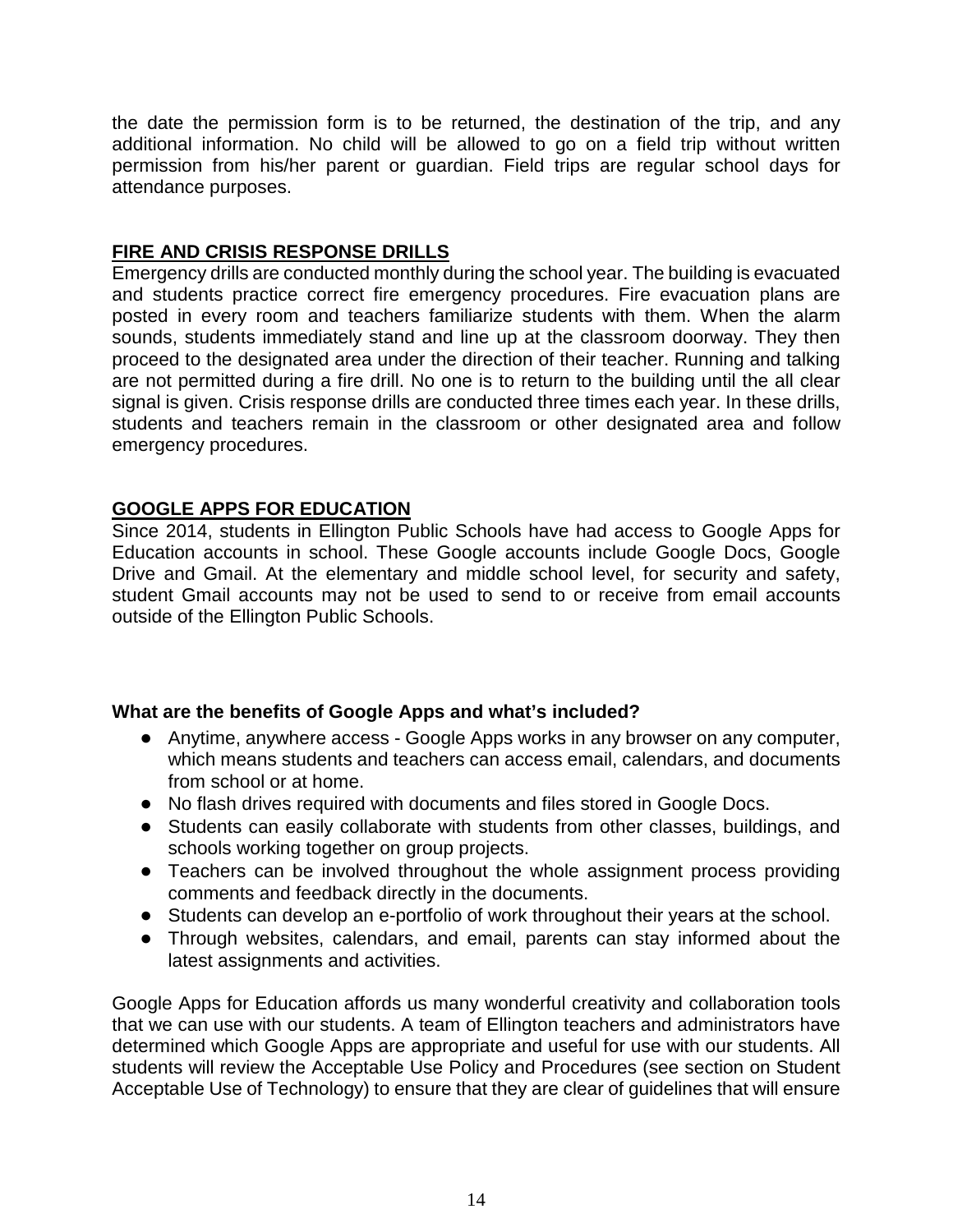the date the permission form is to be returned, the destination of the trip, and any additional information. No child will be allowed to go on a field trip without written permission from his/her parent or guardian. Field trips are regular school days for attendance purposes.

## **FIRE AND CRISIS RESPONSE DRILLS**

Emergency drills are conducted monthly during the school year. The building is evacuated and students practice correct fire emergency procedures. Fire evacuation plans are posted in every room and teachers familiarize students with them. When the alarm sounds, students immediately stand and line up at the classroom doorway. They then proceed to the designated area under the direction of their teacher. Running and talking are not permitted during a fire drill. No one is to return to the building until the all clear signal is given. Crisis response drills are conducted three times each year. In these drills, students and teachers remain in the classroom or other designated area and follow emergency procedures.

## **GOOGLE APPS FOR EDUCATION**

Since 2014, students in Ellington Public Schools have had access to Google Apps for Education accounts in school. These Google accounts include Google Docs, Google Drive and Gmail. At the elementary and middle school level, for security and safety, student Gmail accounts may not be used to send to or receive from email accounts outside of the Ellington Public Schools.

## **What are the benefits of Google Apps and what's included?**

- Anytime, anywhere access Google Apps works in any browser on any computer, which means students and teachers can access email, calendars, and documents from school or at home.
- No flash drives required with documents and files stored in Google Docs.
- Students can easily collaborate with students from other classes, buildings, and schools working together on group projects.
- Teachers can be involved throughout the whole assignment process providing comments and feedback directly in the documents.
- Students can develop an e-portfolio of work throughout their years at the school.
- Through websites, calendars, and email, parents can stay informed about the latest assignments and activities.

Google Apps for Education affords us many wonderful creativity and collaboration tools that we can use with our students. A team of Ellington teachers and administrators have determined which Google Apps are appropriate and useful for use with our students. All students will review the Acceptable Use Policy and Procedures (see section on Student Acceptable Use of Technology) to ensure that they are clear of guidelines that will ensure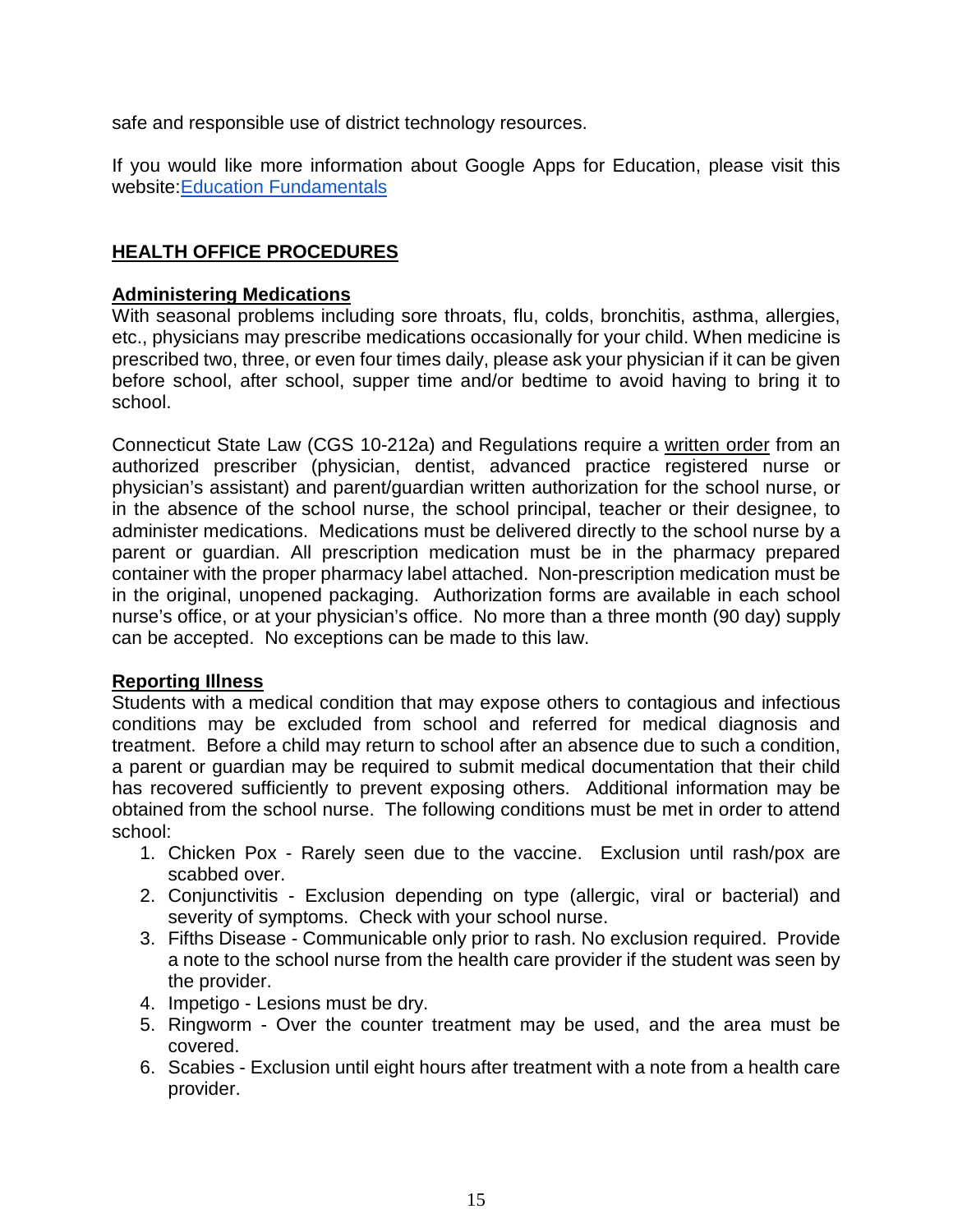safe and responsible use of district technology resources.

If you would like more information about Google Apps for Education, please visit this website[:Education Fundamentals](http://www.google.com/apps/intl/en/edu/k12.html)

## **HEALTH OFFICE PROCEDURES**

## **Administering Medications**

With seasonal problems including sore throats, flu, colds, bronchitis, asthma, allergies, etc., physicians may prescribe medications occasionally for your child. When medicine is prescribed two, three, or even four times daily, please ask your physician if it can be given before school, after school, supper time and/or bedtime to avoid having to bring it to school.

Connecticut State Law (CGS 10-212a) and Regulations require a written order from an authorized prescriber (physician, dentist, advanced practice registered nurse or physician's assistant) and parent/guardian written authorization for the school nurse, or in the absence of the school nurse, the school principal, teacher or their designee, to administer medications. Medications must be delivered directly to the school nurse by a parent or guardian. All prescription medication must be in the pharmacy prepared container with the proper pharmacy label attached. Non-prescription medication must be in the original, unopened packaging. Authorization forms are available in each school nurse's office, or at your physician's office. No more than a three month (90 day) supply can be accepted. No exceptions can be made to this law.

## **Reporting Illness**

Students with a medical condition that may expose others to contagious and infectious conditions may be excluded from school and referred for medical diagnosis and treatment. Before a child may return to school after an absence due to such a condition, a parent or guardian may be required to submit medical documentation that their child has recovered sufficiently to prevent exposing others. Additional information may be obtained from the school nurse. The following conditions must be met in order to attend school:

- 1. Chicken Pox Rarely seen due to the vaccine. Exclusion until rash/pox are scabbed over.
- 2. Conjunctivitis Exclusion depending on type (allergic, viral or bacterial) and severity of symptoms. Check with your school nurse.
- 3. Fifths Disease Communicable only prior to rash. No exclusion required. Provide a note to the school nurse from the health care provider if the student was seen by the provider.
- 4. Impetigo Lesions must be dry.
- 5. Ringworm Over the counter treatment may be used, and the area must be covered.
- 6. Scabies Exclusion until eight hours after treatment with a note from a health care provider.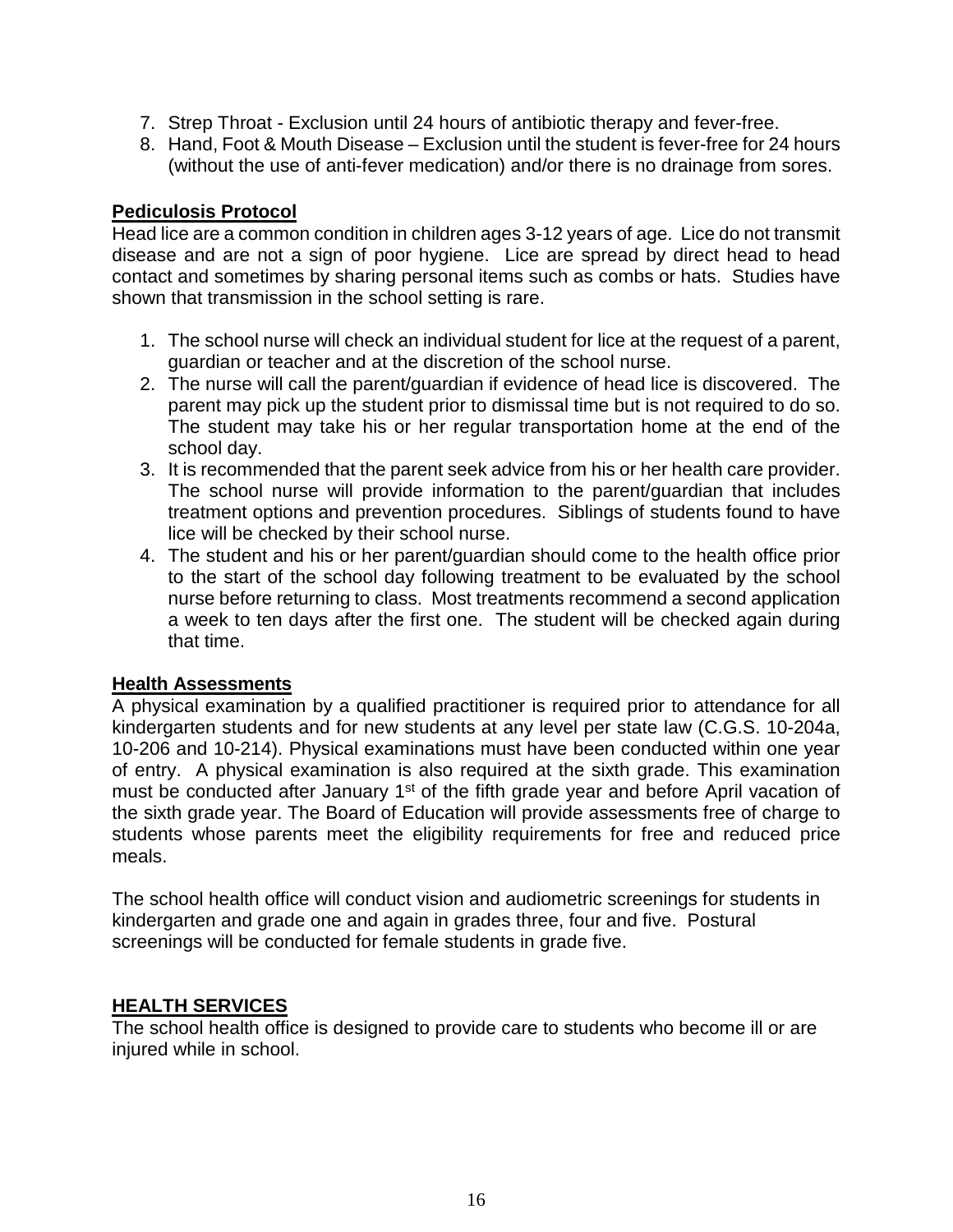- 7. Strep Throat Exclusion until 24 hours of antibiotic therapy and fever-free.
- 8. Hand, Foot & Mouth Disease Exclusion until the student is fever-free for 24 hours (without the use of anti-fever medication) and/or there is no drainage from sores.

#### **Pediculosis Protocol**

Head lice are a common condition in children ages 3-12 years of age. Lice do not transmit disease and are not a sign of poor hygiene. Lice are spread by direct head to head contact and sometimes by sharing personal items such as combs or hats. Studies have shown that transmission in the school setting is rare.

- 1. The school nurse will check an individual student for lice at the request of a parent, guardian or teacher and at the discretion of the school nurse.
- 2. The nurse will call the parent/guardian if evidence of head lice is discovered. The parent may pick up the student prior to dismissal time but is not required to do so. The student may take his or her regular transportation home at the end of the school day.
- 3. It is recommended that the parent seek advice from his or her health care provider. The school nurse will provide information to the parent/guardian that includes treatment options and prevention procedures. Siblings of students found to have lice will be checked by their school nurse.
- 4. The student and his or her parent/guardian should come to the health office prior to the start of the school day following treatment to be evaluated by the school nurse before returning to class. Most treatments recommend a second application a week to ten days after the first one. The student will be checked again during that time.

#### **Health Assessments**

A physical examination by a qualified practitioner is required prior to attendance for all kindergarten students and for new students at any level per state law (C.G.S. 10-204a, 10-206 and 10-214). Physical examinations must have been conducted within one year of entry. A physical examination is also required at the sixth grade. This examination must be conducted after January 1<sup>st</sup> of the fifth grade year and before April vacation of the sixth grade year. The Board of Education will provide assessments free of charge to students whose parents meet the eligibility requirements for free and reduced price meals.

The school health office will conduct vision and audiometric screenings for students in kindergarten and grade one and again in grades three, four and five. Postural screenings will be conducted for female students in grade five.

## **HEALTH SERVICES**

The school health office is designed to provide care to students who become ill or are injured while in school.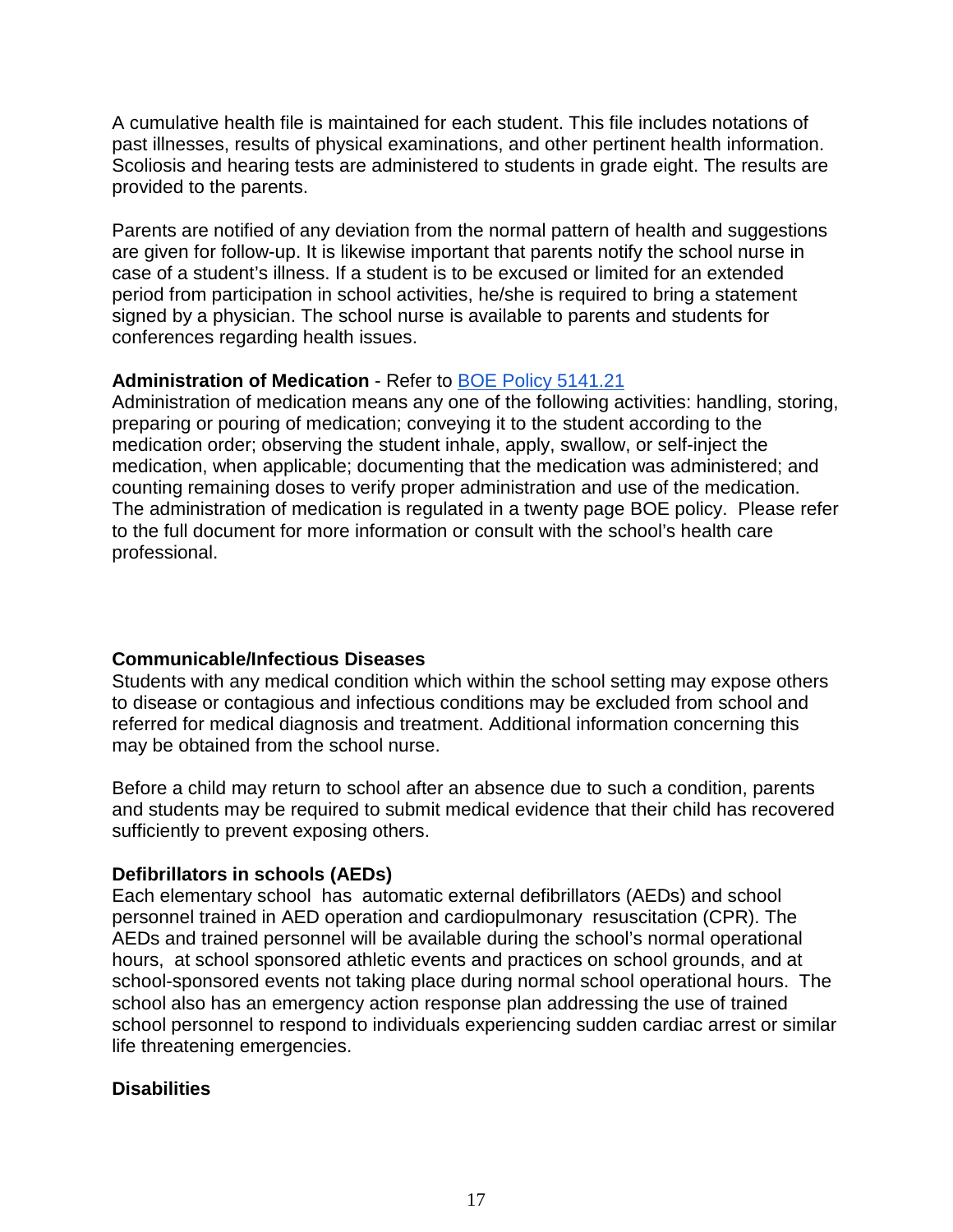A cumulative health file is maintained for each student. This file includes notations of past illnesses, results of physical examinations, and other pertinent health information. Scoliosis and hearing tests are administered to students in grade eight. The results are provided to the parents.

Parents are notified of any deviation from the normal pattern of health and suggestions are given for follow-up. It is likewise important that parents notify the school nurse in case of a student's illness. If a student is to be excused or limited for an extended period from participation in school activities, he/she is required to bring a statement signed by a physician. The school nurse is available to parents and students for conferences regarding health issues.

## **Administration of Medication** - Refer to [BOE Policy 5141.21](https://www.ellingtonpublicschools.org/uploaded/District_files/boe/policy/Policy_Manual/BOE_Policy_2019_07_03.pdf)

Administration of medication means any one of the following activities: handling, storing, preparing or pouring of medication; conveying it to the student according to the medication order; observing the student inhale, apply, swallow, or self-inject the medication, when applicable; documenting that the medication was administered; and counting remaining doses to verify proper administration and use of the medication. The administration of medication is regulated in a twenty page BOE policy. Please refer to the full document for more information or consult with the school's health care professional.

## **Communicable/Infectious Diseases**

Students with any medical condition which within the school setting may expose others to disease or contagious and infectious conditions may be excluded from school and referred for medical diagnosis and treatment. Additional information concerning this may be obtained from the school nurse.

Before a child may return to school after an absence due to such a condition, parents and students may be required to submit medical evidence that their child has recovered sufficiently to prevent exposing others.

## **Defibrillators in schools (AEDs)**

Each elementary school has automatic external defibrillators (AEDs) and school personnel trained in AED operation and cardiopulmonary resuscitation (CPR). The AEDs and trained personnel will be available during the school's normal operational hours, at school sponsored athletic events and practices on school grounds, and at school-sponsored events not taking place during normal school operational hours. The school also has an emergency action response plan addressing the use of trained school personnel to respond to individuals experiencing sudden cardiac arrest or similar life threatening emergencies.

## **Disabilities**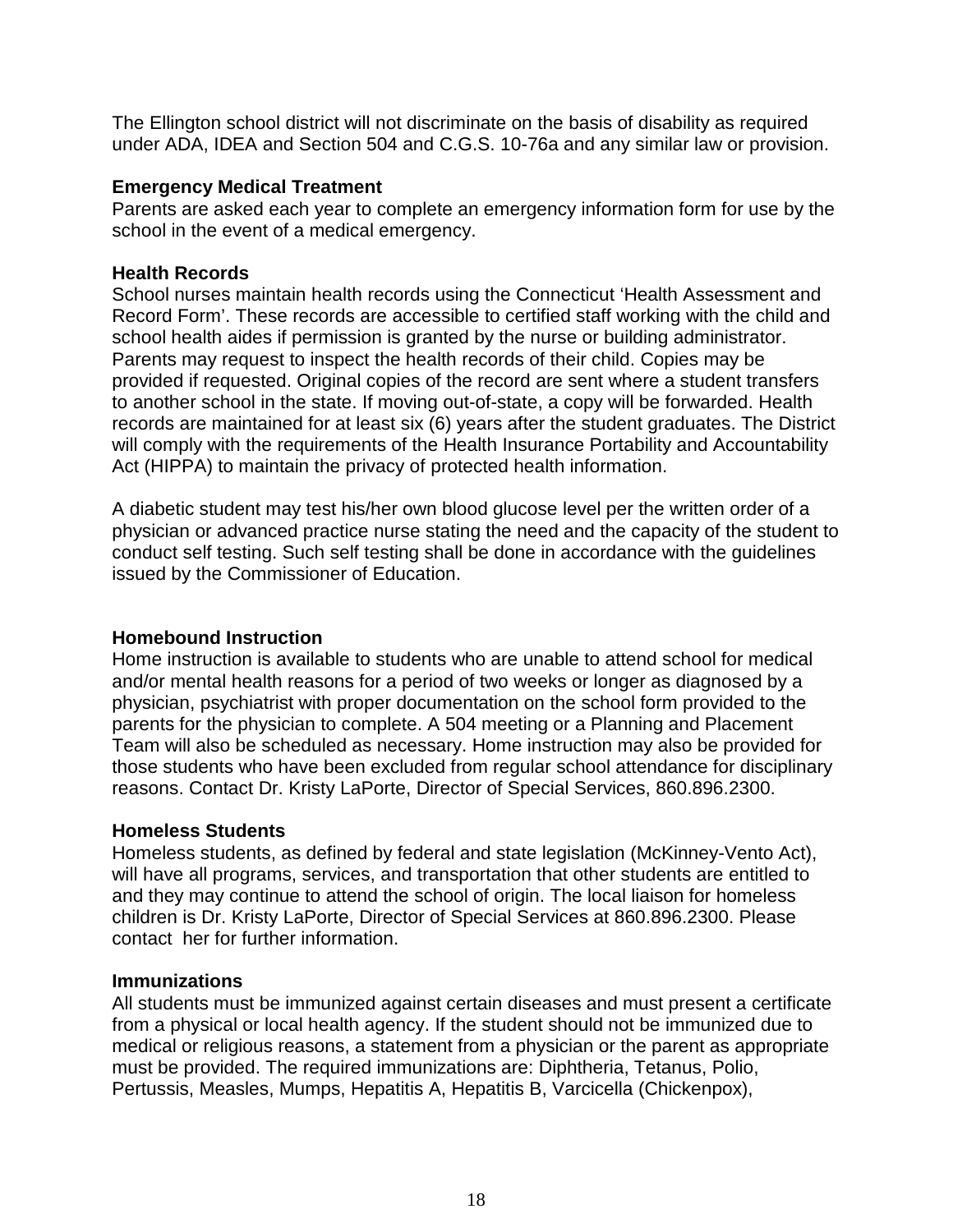The Ellington school district will not discriminate on the basis of disability as required under ADA, IDEA and Section 504 and C.G.S. 10-76a and any similar law or provision.

#### **Emergency Medical Treatment**

Parents are asked each year to complete an emergency information form for use by the school in the event of a medical emergency.

## **Health Records**

School nurses maintain health records using the Connecticut 'Health Assessment and Record Form'. These records are accessible to certified staff working with the child and school health aides if permission is granted by the nurse or building administrator. Parents may request to inspect the health records of their child. Copies may be provided if requested. Original copies of the record are sent where a student transfers to another school in the state. If moving out-of-state, a copy will be forwarded. Health records are maintained for at least six (6) years after the student graduates. The District will comply with the requirements of the Health Insurance Portability and Accountability Act (HIPPA) to maintain the privacy of protected health information.

A diabetic student may test his/her own blood glucose level per the written order of a physician or advanced practice nurse stating the need and the capacity of the student to conduct self testing. Such self testing shall be done in accordance with the guidelines issued by the Commissioner of Education.

## **Homebound Instruction**

Home instruction is available to students who are unable to attend school for medical and/or mental health reasons for a period of two weeks or longer as diagnosed by a physician, psychiatrist with proper documentation on the school form provided to the parents for the physician to complete. A 504 meeting or a Planning and Placement Team will also be scheduled as necessary. Home instruction may also be provided for those students who have been excluded from regular school attendance for disciplinary reasons. Contact Dr. Kristy LaPorte, Director of Special Services, 860.896.2300.

#### **Homeless Students**

Homeless students, as defined by federal and state legislation (McKinney-Vento Act), will have all programs, services, and transportation that other students are entitled to and they may continue to attend the school of origin. The local liaison for homeless children is Dr. Kristy LaPorte, Director of Special Services at 860.896.2300. Please contact her for further information.

#### **Immunizations**

All students must be immunized against certain diseases and must present a certificate from a physical or local health agency. If the student should not be immunized due to medical or religious reasons, a statement from a physician or the parent as appropriate must be provided. The required immunizations are: Diphtheria, Tetanus, Polio, Pertussis, Measles, Mumps, Hepatitis A, Hepatitis B, Varcicella (Chickenpox),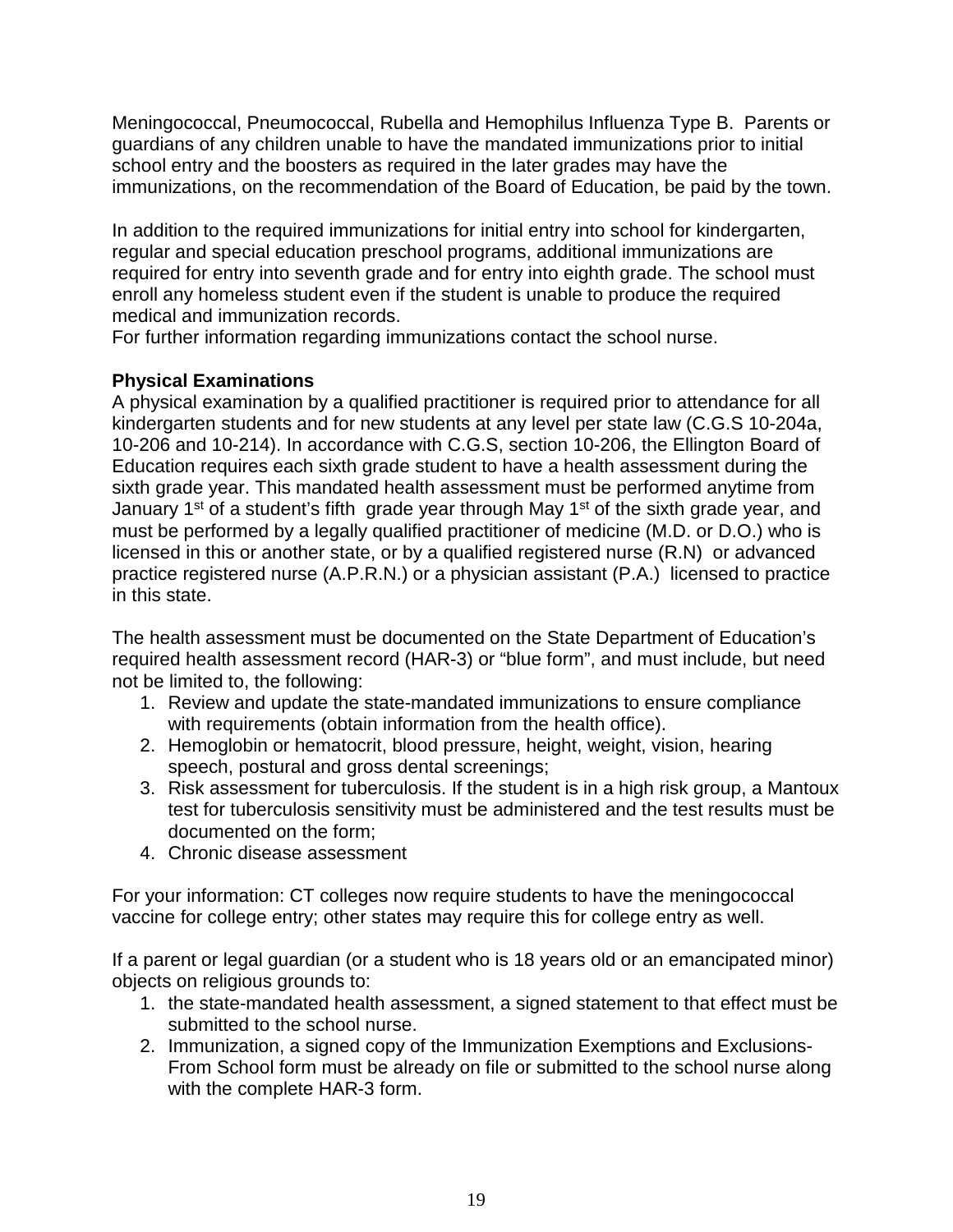Meningococcal, Pneumococcal, Rubella and Hemophilus Influenza Type B. Parents or guardians of any children unable to have the mandated immunizations prior to initial school entry and the boosters as required in the later grades may have the immunizations, on the recommendation of the Board of Education, be paid by the town.

In addition to the required immunizations for initial entry into school for kindergarten, regular and special education preschool programs, additional immunizations are required for entry into seventh grade and for entry into eighth grade. The school must enroll any homeless student even if the student is unable to produce the required medical and immunization records.

For further information regarding immunizations contact the school nurse.

## **Physical Examinations**

A physical examination by a qualified practitioner is required prior to attendance for all kindergarten students and for new students at any level per state law (C.G.S 10-204a, 10-206 and 10-214). In accordance with C.G.S, section 10-206, the Ellington Board of Education requires each sixth grade student to have a health assessment during the sixth grade year. This mandated health assessment must be performed anytime from January 1<sup>st</sup> of a student's fifth grade year through May 1<sup>st</sup> of the sixth grade year, and must be performed by a legally qualified practitioner of medicine (M.D. or D.O.) who is licensed in this or another state, or by a qualified registered nurse (R.N) or advanced practice registered nurse (A.P.R.N.) or a physician assistant (P.A.) licensed to practice in this state.

The health assessment must be documented on the State Department of Education's required health assessment record (HAR-3) or "blue form", and must include, but need not be limited to, the following:

- 1. Review and update the state-mandated immunizations to ensure compliance with requirements (obtain information from the health office).
- 2. Hemoglobin or hematocrit, blood pressure, height, weight, vision, hearing speech, postural and gross dental screenings;
- 3. Risk assessment for tuberculosis. If the student is in a high risk group, a Mantoux test for tuberculosis sensitivity must be administered and the test results must be documented on the form;
- 4. Chronic disease assessment

For your information: CT colleges now require students to have the meningococcal vaccine for college entry; other states may require this for college entry as well.

If a parent or legal guardian (or a student who is 18 years old or an emancipated minor) objects on religious grounds to:

- 1. the state-mandated health assessment, a signed statement to that effect must be submitted to the school nurse.
- 2. Immunization, a signed copy of the Immunization Exemptions and Exclusions-From School form must be already on file or submitted to the school nurse along with the complete HAR-3 form.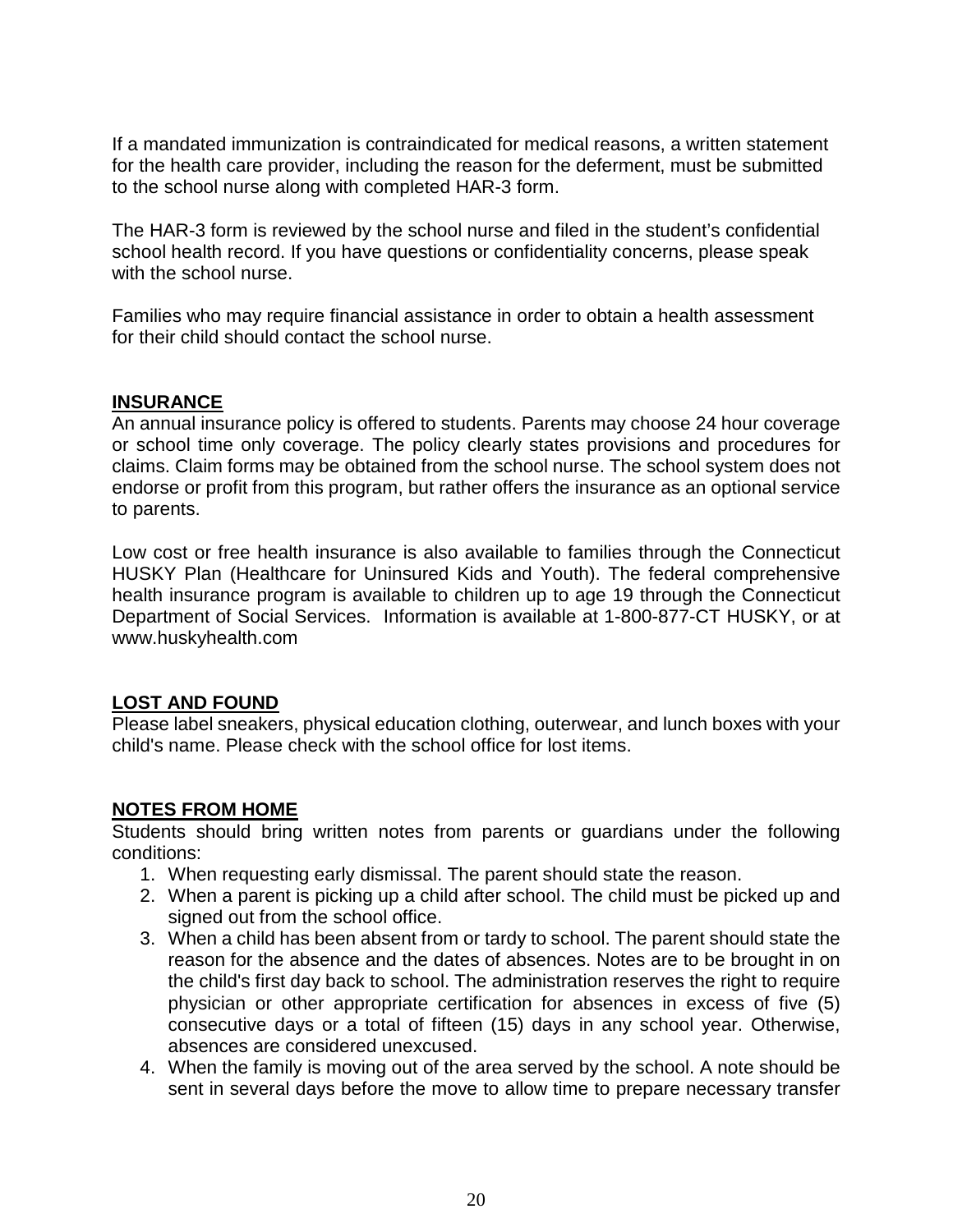If a mandated immunization is contraindicated for medical reasons, a written statement for the health care provider, including the reason for the deferment, must be submitted to the school nurse along with completed HAR-3 form.

The HAR-3 form is reviewed by the school nurse and filed in the student's confidential school health record. If you have questions or confidentiality concerns, please speak with the school nurse.

Families who may require financial assistance in order to obtain a health assessment for their child should contact the school nurse.

#### **INSURANCE**

An annual insurance policy is offered to students. Parents may choose 24 hour coverage or school time only coverage. The policy clearly states provisions and procedures for claims. Claim forms may be obtained from the school nurse. The school system does not endorse or profit from this program, but rather offers the insurance as an optional service to parents.

Low cost or free health insurance is also available to families through the Connecticut HUSKY Plan (Healthcare for Uninsured Kids and Youth). The federal comprehensive health insurance program is available to children up to age 19 through the Connecticut Department of Social Services. Information is available at 1-800-877-CT HUSKY, or at www.huskyhealth.com

#### **LOST AND FOUND**

Please label sneakers, physical education clothing, outerwear, and lunch boxes with your child's name. Please check with the school office for lost items.

#### **NOTES FROM HOME**

Students should bring written notes from parents or guardians under the following conditions:

- 1. When requesting early dismissal. The parent should state the reason.
- 2. When a parent is picking up a child after school. The child must be picked up and signed out from the school office.
- 3. When a child has been absent from or tardy to school. The parent should state the reason for the absence and the dates of absences. Notes are to be brought in on the child's first day back to school. The administration reserves the right to require physician or other appropriate certification for absences in excess of five (5) consecutive days or a total of fifteen (15) days in any school year. Otherwise, absences are considered unexcused.
- 4. When the family is moving out of the area served by the school. A note should be sent in several days before the move to allow time to prepare necessary transfer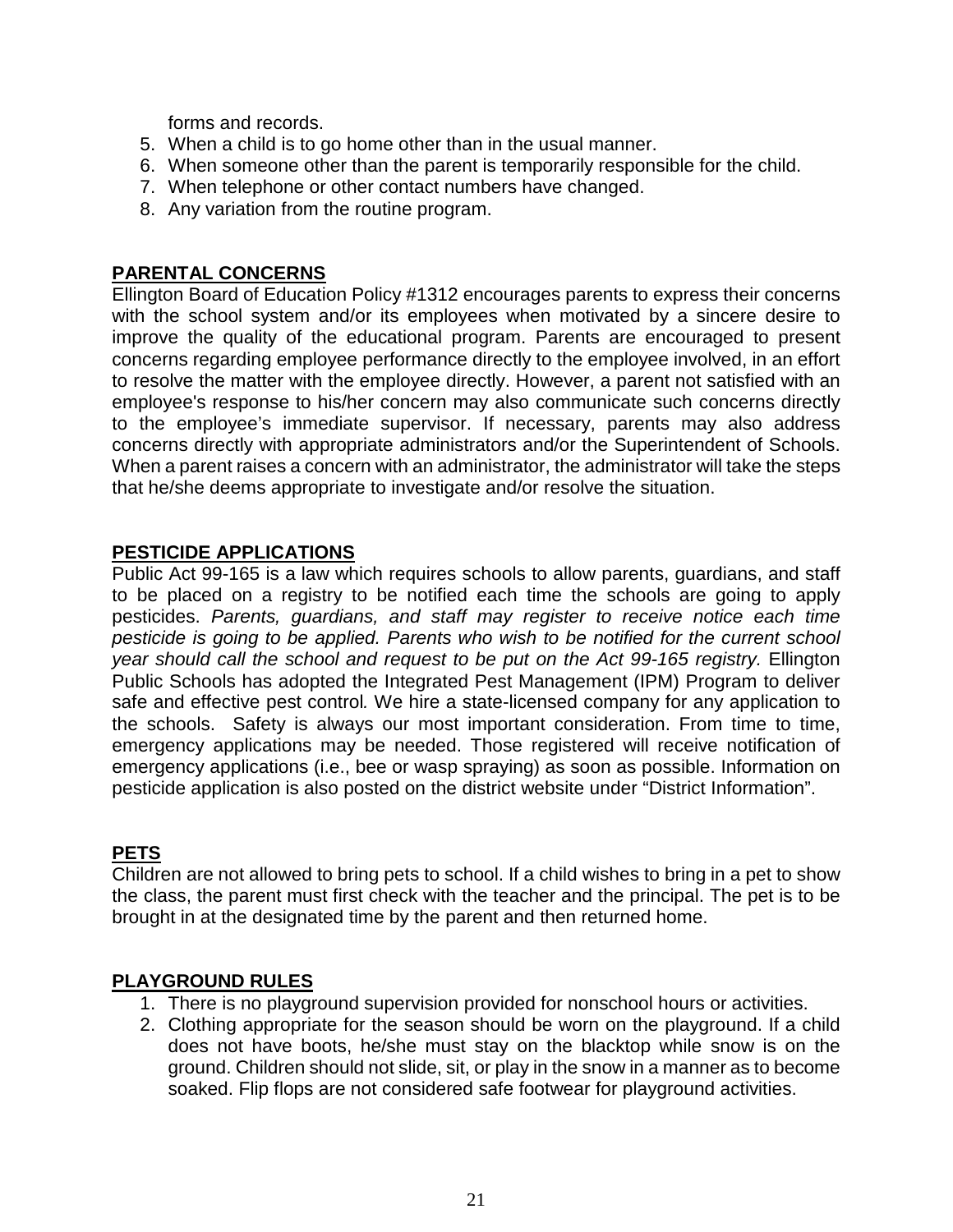forms and records.

- 5. When a child is to go home other than in the usual manner.
- 6. When someone other than the parent is temporarily responsible for the child.
- 7. When telephone or other contact numbers have changed.
- 8. Any variation from the routine program.

## **PARENTAL CONCERNS**

Ellington Board of Education Policy #1312 encourages parents to express their concerns with the school system and/or its employees when motivated by a sincere desire to improve the quality of the educational program. Parents are encouraged to present concerns regarding employee performance directly to the employee involved, in an effort to resolve the matter with the employee directly. However, a parent not satisfied with an employee's response to his/her concern may also communicate such concerns directly to the employee's immediate supervisor. If necessary, parents may also address concerns directly with appropriate administrators and/or the Superintendent of Schools. When a parent raises a concern with an administrator, the administrator will take the steps that he/she deems appropriate to investigate and/or resolve the situation.

## **PESTICIDE APPLICATIONS**

Public Act 99-165 is a law which requires schools to allow parents, guardians, and staff to be placed on a registry to be notified each time the schools are going to apply pesticides. *Parents, guardians, and staff may register to receive notice each time pesticide is going to be applied. Parents who wish to be notified for the current school year should call the school and request to be put on the Act 99-165 registry.* Ellington Public Schools has adopted the Integrated Pest Management (IPM) Program to deliver safe and effective pest control*.* We hire a state-licensed company for any application to the schools. Safety is always our most important consideration. From time to time, emergency applications may be needed. Those registered will receive notification of emergency applications (i.e., bee or wasp spraying) as soon as possible. Information on pesticide application is also posted on the district website under "District Information".

## **PETS**

Children are not allowed to bring pets to school. If a child wishes to bring in a pet to show the class, the parent must first check with the teacher and the principal. The pet is to be brought in at the designated time by the parent and then returned home.

## **PLAYGROUND RULES**

- 1. There is no playground supervision provided for nonschool hours or activities.
- 2. Clothing appropriate for the season should be worn on the playground. If a child does not have boots, he/she must stay on the blacktop while snow is on the ground. Children should not slide, sit, or play in the snow in a manner as to become soaked. Flip flops are not considered safe footwear for playground activities.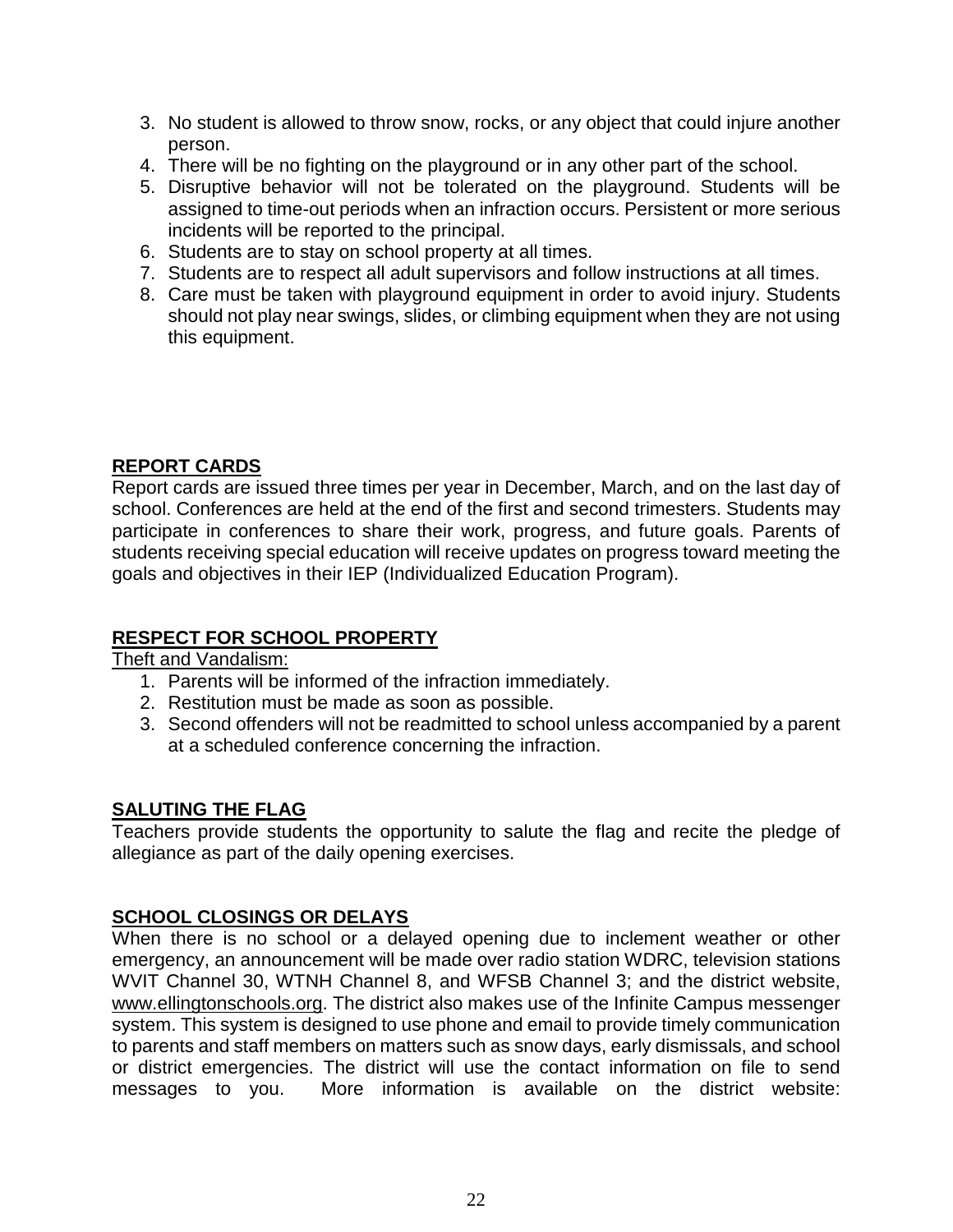- 3. No student is allowed to throw snow, rocks, or any object that could injure another person.
- 4. There will be no fighting on the playground or in any other part of the school.
- 5. Disruptive behavior will not be tolerated on the playground. Students will be assigned to time-out periods when an infraction occurs. Persistent or more serious incidents will be reported to the principal.
- 6. Students are to stay on school property at all times.
- 7. Students are to respect all adult supervisors and follow instructions at all times.
- 8. Care must be taken with playground equipment in order to avoid injury. Students should not play near swings, slides, or climbing equipment when they are not using this equipment.

## **REPORT CARDS**

Report cards are issued three times per year in December, March, and on the last day of school. Conferences are held at the end of the first and second trimesters. Students may participate in conferences to share their work, progress, and future goals. Parents of students receiving special education will receive updates on progress toward meeting the goals and objectives in their IEP (Individualized Education Program).

## **RESPECT FOR SCHOOL PROPERTY**

Theft and Vandalism:

- 1. Parents will be informed of the infraction immediately.
- 2. Restitution must be made as soon as possible.
- 3. Second offenders will not be readmitted to school unless accompanied by a parent at a scheduled conference concerning the infraction.

## **SALUTING THE FLAG**

Teachers provide students the opportunity to salute the flag and recite the pledge of allegiance as part of the daily opening exercises.

## **SCHOOL CLOSINGS OR DELAYS**

When there is no school or a delayed opening due to inclement weather or other emergency, an announcement will be made over radio station WDRC, television stations WVIT Channel 30, WTNH Channel 8, and WFSB Channel 3; and the district website, www.ellingtonschools.org. The district also makes use of the Infinite Campus messenger system. This system is designed to use phone and email to provide timely communication to parents and staff members on matters such as snow days, early dismissals, and school or district emergencies. The district will use the contact information on file to send messages to you. More information is available on the district website: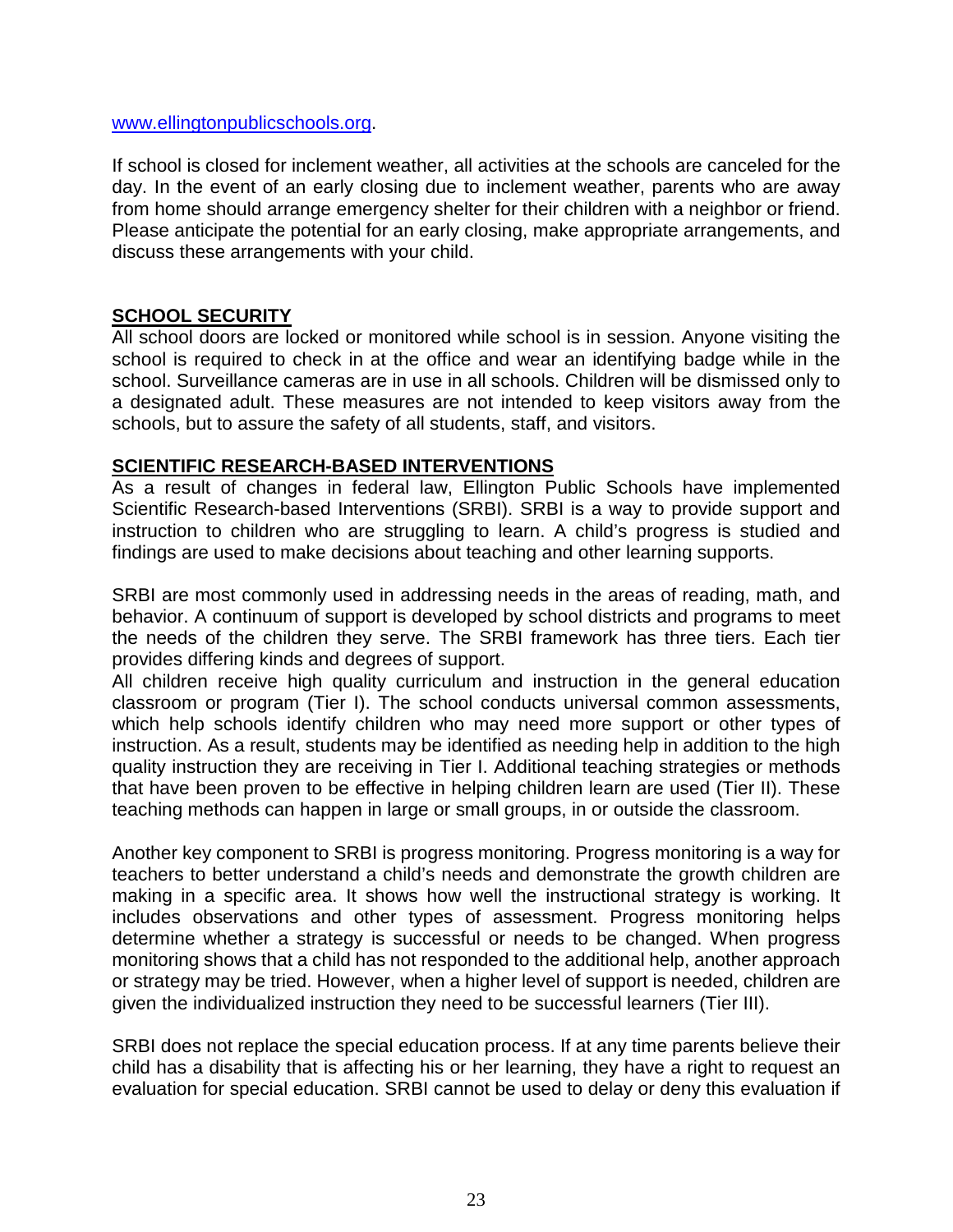#### [www.ellingtonpublicschools.org.](http://www.ellingtonschools.org/)

If school is closed for inclement weather, all activities at the schools are canceled for the day. In the event of an early closing due to inclement weather, parents who are away from home should arrange emergency shelter for their children with a neighbor or friend. Please anticipate the potential for an early closing, make appropriate arrangements, and discuss these arrangements with your child.

## **SCHOOL SECURITY**

All school doors are locked or monitored while school is in session. Anyone visiting the school is required to check in at the office and wear an identifying badge while in the school. Surveillance cameras are in use in all schools. Children will be dismissed only to a designated adult. These measures are not intended to keep visitors away from the schools, but to assure the safety of all students, staff, and visitors.

## **SCIENTIFIC RESEARCH-BASED INTERVENTIONS**

As a result of changes in federal law, Ellington Public Schools have implemented Scientific Research-based Interventions (SRBI). SRBI is a way to provide support and instruction to children who are struggling to learn. A child's progress is studied and findings are used to make decisions about teaching and other learning supports.

SRBI are most commonly used in addressing needs in the areas of reading, math, and behavior. A continuum of support is developed by school districts and programs to meet the needs of the children they serve. The SRBI framework has three tiers. Each tier provides differing kinds and degrees of support.

All children receive high quality curriculum and instruction in the general education classroom or program (Tier I). The school conducts universal common assessments, which help schools identify children who may need more support or other types of instruction. As a result, students may be identified as needing help in addition to the high quality instruction they are receiving in Tier I. Additional teaching strategies or methods that have been proven to be effective in helping children learn are used (Tier II). These teaching methods can happen in large or small groups, in or outside the classroom.

Another key component to SRBI is progress monitoring. Progress monitoring is a way for teachers to better understand a child's needs and demonstrate the growth children are making in a specific area. It shows how well the instructional strategy is working. It includes observations and other types of assessment. Progress monitoring helps determine whether a strategy is successful or needs to be changed. When progress monitoring shows that a child has not responded to the additional help, another approach or strategy may be tried. However, when a higher level of support is needed, children are given the individualized instruction they need to be successful learners (Tier III).

SRBI does not replace the special education process. If at any time parents believe their child has a disability that is affecting his or her learning, they have a right to request an evaluation for special education. SRBI cannot be used to delay or deny this evaluation if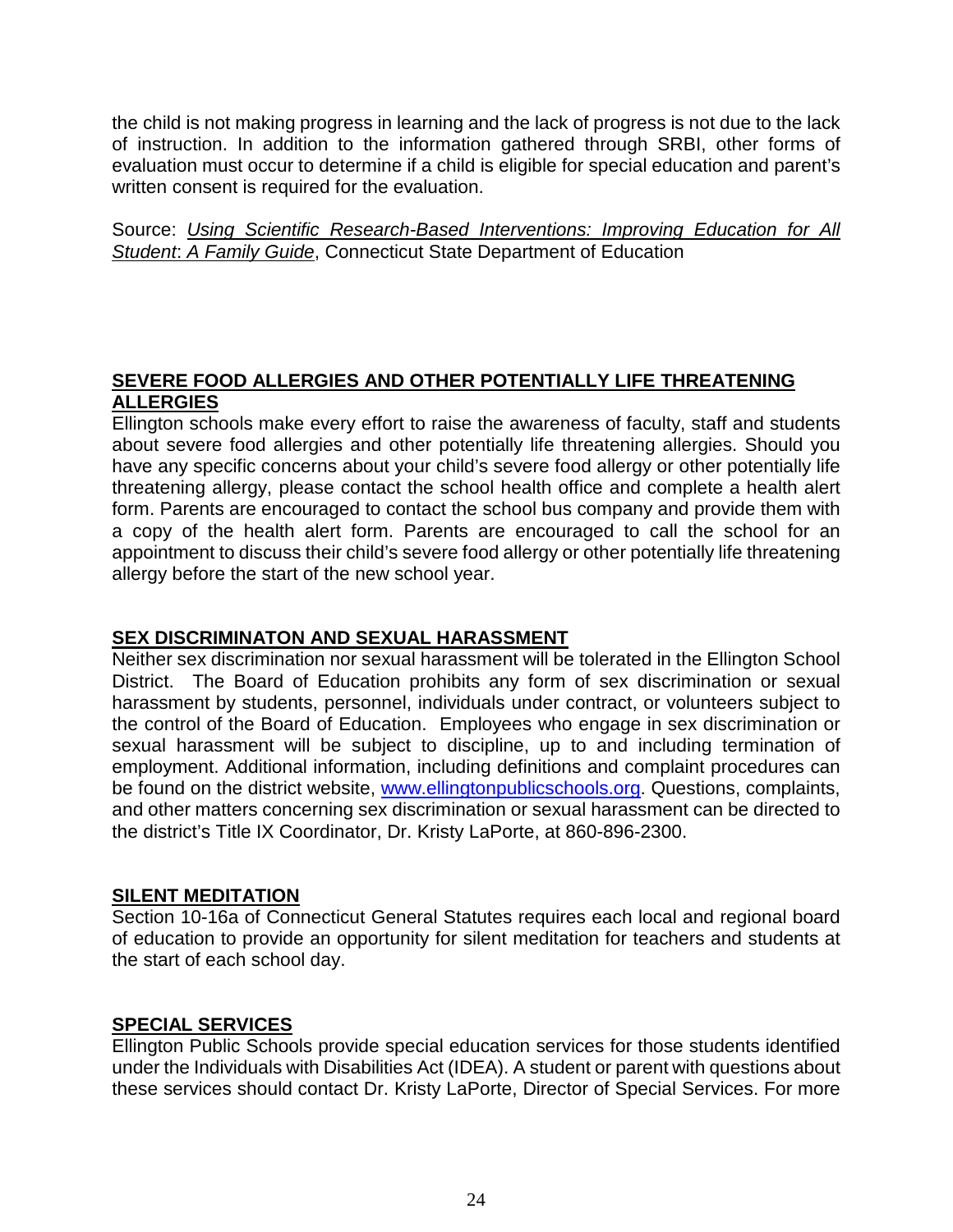the child is not making progress in learning and the lack of progress is not due to the lack of instruction. In addition to the information gathered through SRBI, other forms of evaluation must occur to determine if a child is eligible for special education and parent's written consent is required for the evaluation.

Source: *Using Scientific Research-Based Interventions: Improving Education for All Student*: *A Family Guide*, Connecticut State Department of Education

## **SEVERE FOOD ALLERGIES AND OTHER POTENTIALLY LIFE THREATENING ALLERGIES**

Ellington schools make every effort to raise the awareness of faculty, staff and students about severe food allergies and other potentially life threatening allergies. Should you have any specific concerns about your child's severe food allergy or other potentially life threatening allergy, please contact the school health office and complete a health alert form. Parents are encouraged to contact the school bus company and provide them with a copy of the health alert form. Parents are encouraged to call the school for an appointment to discuss their child's severe food allergy or other potentially life threatening allergy before the start of the new school year.

## **SEX DISCRIMINATON AND SEXUAL HARASSMENT**

Neither sex discrimination nor sexual harassment will be tolerated in the Ellington School District. The Board of Education prohibits any form of sex discrimination or sexual harassment by students, personnel, individuals under contract, or volunteers subject to the control of the Board of Education. Employees who engage in sex discrimination or sexual harassment will be subject to discipline, up to and including termination of employment. Additional information, including definitions and complaint procedures can be found on the district website, [www.ellingtonpublicschools.org.](http://www.ellingtonschools.org/) Questions, complaints, and other matters concerning sex discrimination or sexual harassment can be directed to the district's Title IX Coordinator, Dr. Kristy LaPorte, at 860-896-2300.

## **SILENT MEDITATION**

Section 10-16a of Connecticut General Statutes requires each local and regional board of education to provide an opportunity for silent meditation for teachers and students at the start of each school day.

## **SPECIAL SERVICES**

Ellington Public Schools provide special education services for those students identified under the Individuals with Disabilities Act (IDEA). A student or parent with questions about these services should contact Dr. Kristy LaPorte, Director of Special Services. For more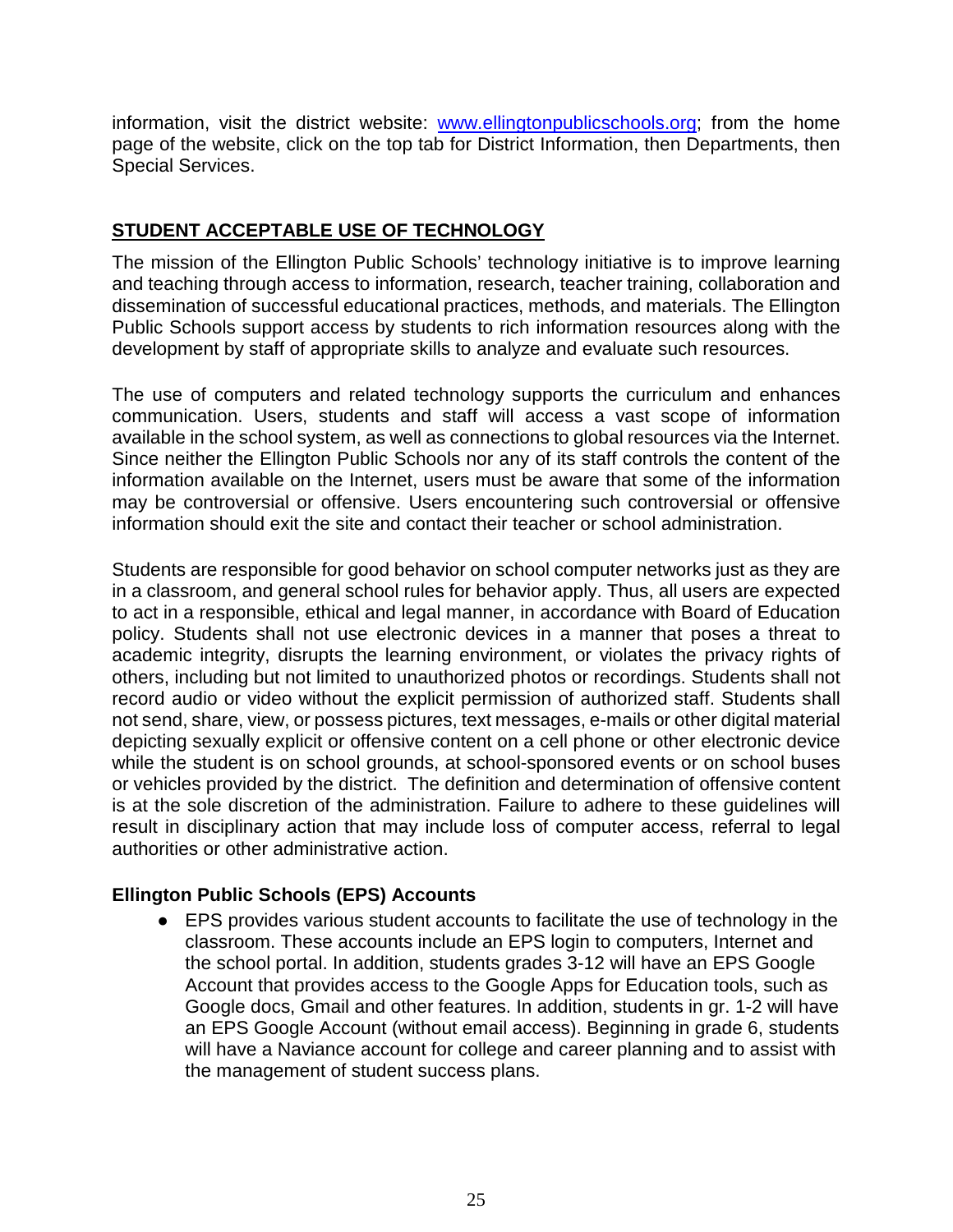information, visit the district website: [www.ellingtonpublicschools.org;](http://www.ellingtonpublicschools.org/) from the home page of the website, click on the top tab for District Information, then Departments, then Special Services.

## **STUDENT ACCEPTABLE USE OF TECHNOLOGY**

The mission of the Ellington Public Schools' technology initiative is to improve learning and teaching through access to information, research, teacher training, collaboration and dissemination of successful educational practices, methods, and materials. The Ellington Public Schools support access by students to rich information resources along with the development by staff of appropriate skills to analyze and evaluate such resources.

The use of computers and related technology supports the curriculum and enhances communication. Users, students and staff will access a vast scope of information available in the school system, as well as connections to global resources via the Internet. Since neither the Ellington Public Schools nor any of its staff controls the content of the information available on the Internet, users must be aware that some of the information may be controversial or offensive. Users encountering such controversial or offensive information should exit the site and contact their teacher or school administration.

Students are responsible for good behavior on school computer networks just as they are in a classroom, and general school rules for behavior apply. Thus, all users are expected to act in a responsible, ethical and legal manner, in accordance with Board of Education policy. Students shall not use electronic devices in a manner that poses a threat to academic integrity, disrupts the learning environment, or violates the privacy rights of others, including but not limited to unauthorized photos or recordings. Students shall not record audio or video without the explicit permission of authorized staff. Students shall not send, share, view, or possess pictures, text messages, e-mails or other digital material depicting sexually explicit or offensive content on a cell phone or other electronic device while the student is on school grounds, at school-sponsored events or on school buses or vehicles provided by the district. The definition and determination of offensive content is at the sole discretion of the administration. Failure to adhere to these guidelines will result in disciplinary action that may include loss of computer access, referral to legal authorities or other administrative action.

## **Ellington Public Schools (EPS) Accounts**

● EPS provides various student accounts to facilitate the use of technology in the classroom. These accounts include an EPS login to computers, Internet and the school portal. In addition, students grades 3-12 will have an EPS Google Account that provides access to the Google Apps for Education tools, such as Google docs, Gmail and other features. In addition, students in gr. 1-2 will have an EPS Google Account (without email access). Beginning in grade 6, students will have a Naviance account for college and career planning and to assist with the management of student success plans.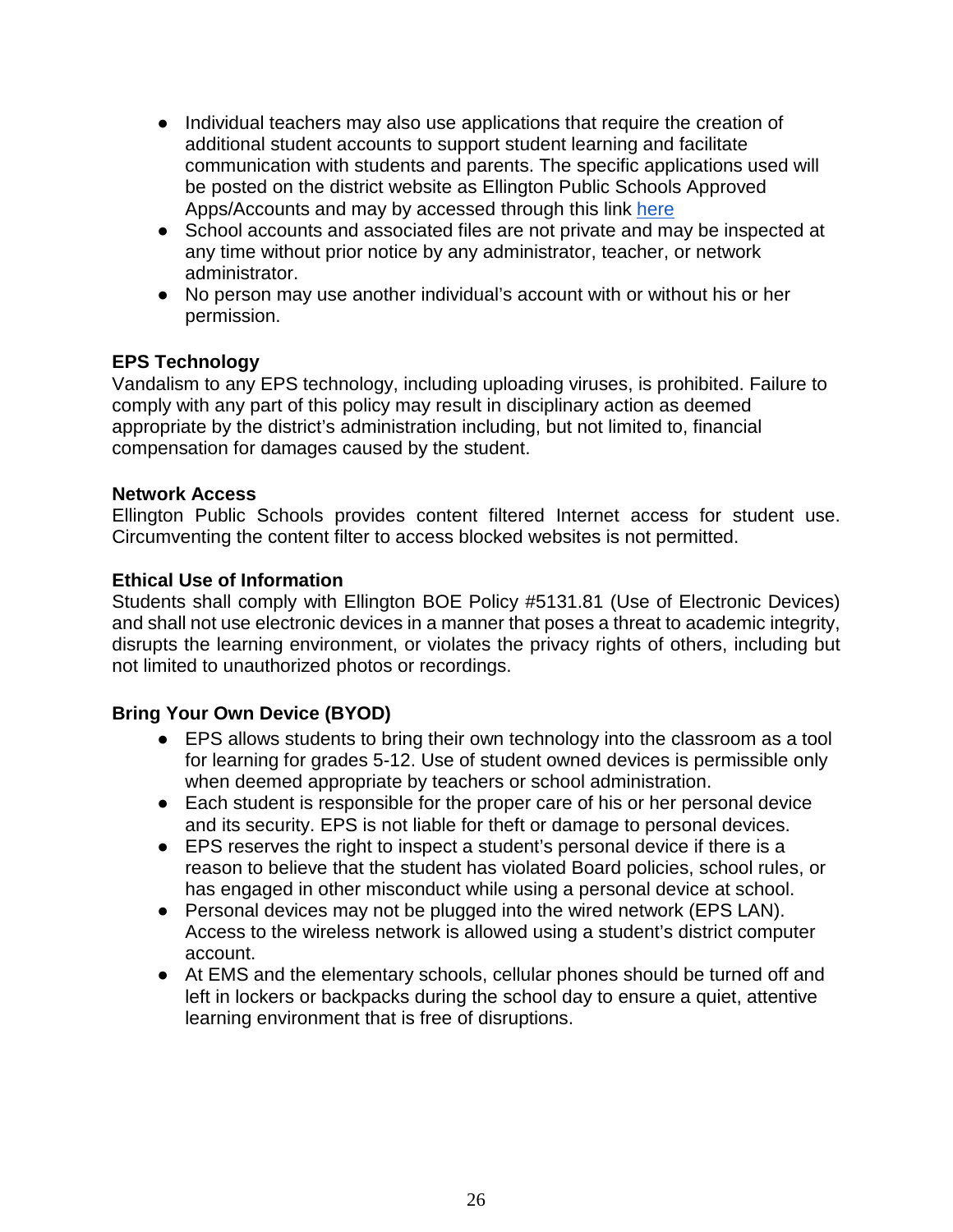- Individual teachers may also use applications that require the creation of additional student accounts to support student learning and facilitate communication with students and parents. The specific applications used will be posted on the district website as Ellington Public Schools Approved Apps/Accounts and may by accessed through this link [here](https://docs.google.com/spreadsheets/d/1zO7KCaCMyiuRCiqb8mp2AvSZfD-fnvSsB0_6OBIN1cQ/edit?usp=sharing)
- School accounts and associated files are not private and may be inspected at any time without prior notice by any administrator, teacher, or network administrator.
- No person may use another individual's account with or without his or her permission.

## **EPS Technology**

Vandalism to any EPS technology, including uploading viruses, is prohibited. Failure to comply with any part of this policy may result in disciplinary action as deemed appropriate by the district's administration including, but not limited to, financial compensation for damages caused by the student.

## **Network Access**

Ellington Public Schools provides content filtered Internet access for student use. Circumventing the content filter to access blocked websites is not permitted.

## **Ethical Use of Information**

Students shall comply with Ellington BOE Policy #5131.81 (Use of Electronic Devices) and shall not use electronic devices in a manner that poses a threat to academic integrity, disrupts the learning environment, or violates the privacy rights of others, including but not limited to unauthorized photos or recordings.

## **Bring Your Own Device (BYOD)**

- EPS allows students to bring their own technology into the classroom as a tool for learning for grades 5-12. Use of student owned devices is permissible only when deemed appropriate by teachers or school administration.
- Each student is responsible for the proper care of his or her personal device and its security. EPS is not liable for theft or damage to personal devices.
- EPS reserves the right to inspect a student's personal device if there is a reason to believe that the student has violated Board policies, school rules, or has engaged in other misconduct while using a personal device at school.
- Personal devices may not be plugged into the wired network (EPS LAN). Access to the wireless network is allowed using a student's district computer account.
- At EMS and the elementary schools, cellular phones should be turned off and left in lockers or backpacks during the school day to ensure a quiet, attentive learning environment that is free of disruptions.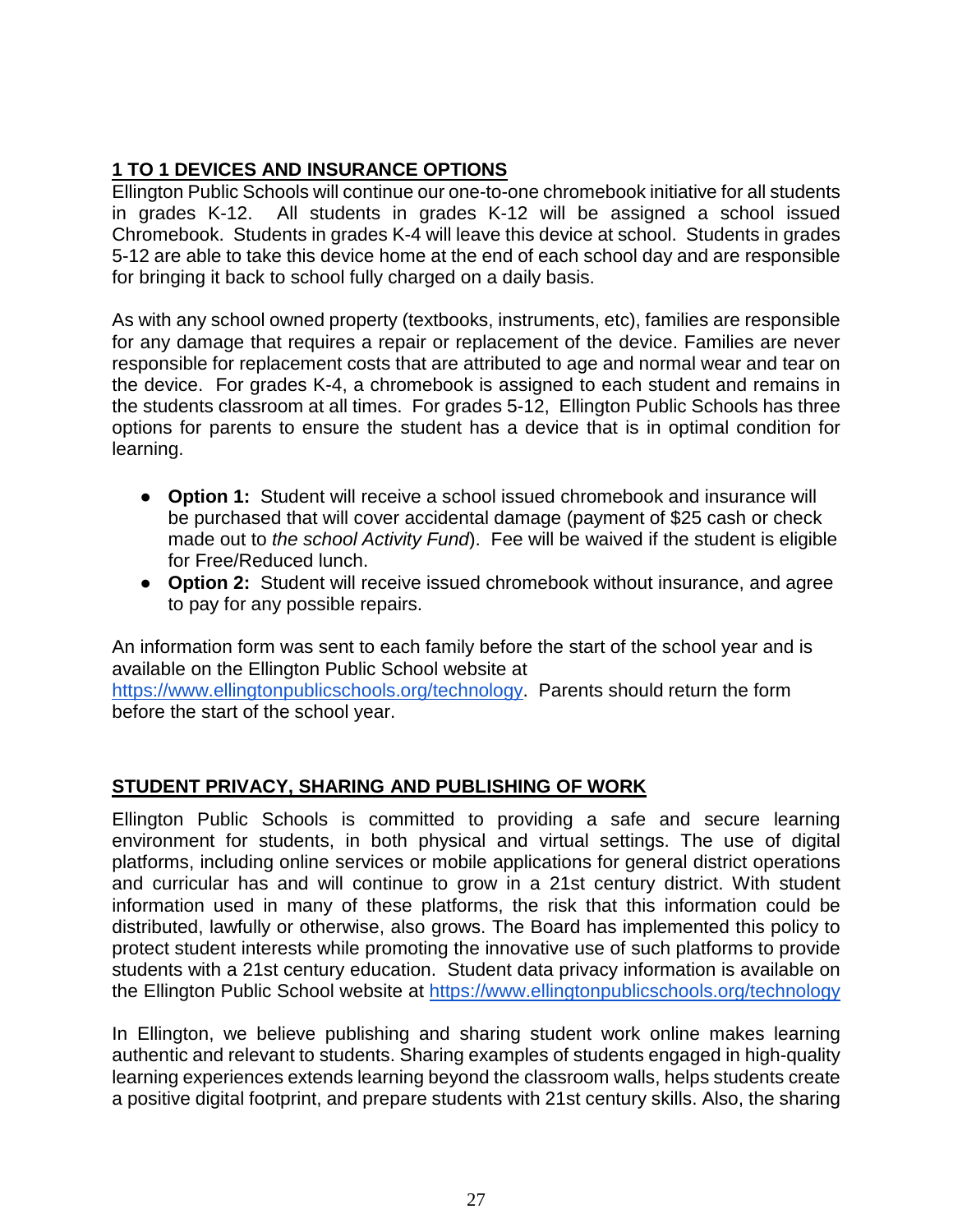## **1 TO 1 DEVICES AND INSURANCE OPTIONS**

Ellington Public Schools will continue our one-to-one chromebook initiative for all students in grades K-12. All students in grades K-12 will be assigned a school issued Chromebook. Students in grades K-4 will leave this device at school. Students in grades 5-12 are able to take this device home at the end of each school day and are responsible for bringing it back to school fully charged on a daily basis.

As with any school owned property (textbooks, instruments, etc), families are responsible for any damage that requires a repair or replacement of the device. Families are never responsible for replacement costs that are attributed to age and normal wear and tear on the device. For grades K-4, a chromebook is assigned to each student and remains in the students classroom at all times. For grades 5-12, Ellington Public Schools has three options for parents to ensure the student has a device that is in optimal condition for learning.

- **Option 1:** Student will receive a school issued chromebook and insurance will be purchased that will cover accidental damage (payment of \$25 cash or check made out to *the school Activity Fund*). Fee will be waived if the student is eligible for Free/Reduced lunch.
- **Option 2:** Student will receive issued chromebook without insurance, and agree to pay for any possible repairs.

An information form was sent to each family before the start of the school year and is available on the Ellington Public School website at [https://www.ellingtonpublicschools.org/technology.](https://www.ellingtonpublicschools.org/technology) Parents should return the form before the start of the school year.

## **STUDENT PRIVACY, SHARING AND PUBLISHING OF WORK**

Ellington Public Schools is committed to providing a safe and secure learning environment for students, in both physical and virtual settings. The use of digital platforms, including online services or mobile applications for general district operations and curricular has and will continue to grow in a 21st century district. With student information used in many of these platforms, the risk that this information could be distributed, lawfully or otherwise, also grows. The Board has implemented this policy to protect student interests while promoting the innovative use of such platforms to provide students with a 21st century education. Student data privacy information is available on the Ellington Public School website at<https://www.ellingtonpublicschools.org/technology>

In Ellington, we believe publishing and sharing student work online makes learning authentic and relevant to students. Sharing examples of students engaged in high-quality learning experiences extends learning beyond the classroom walls, helps students create a positive digital footprint, and prepare students with 21st century skills. Also, the sharing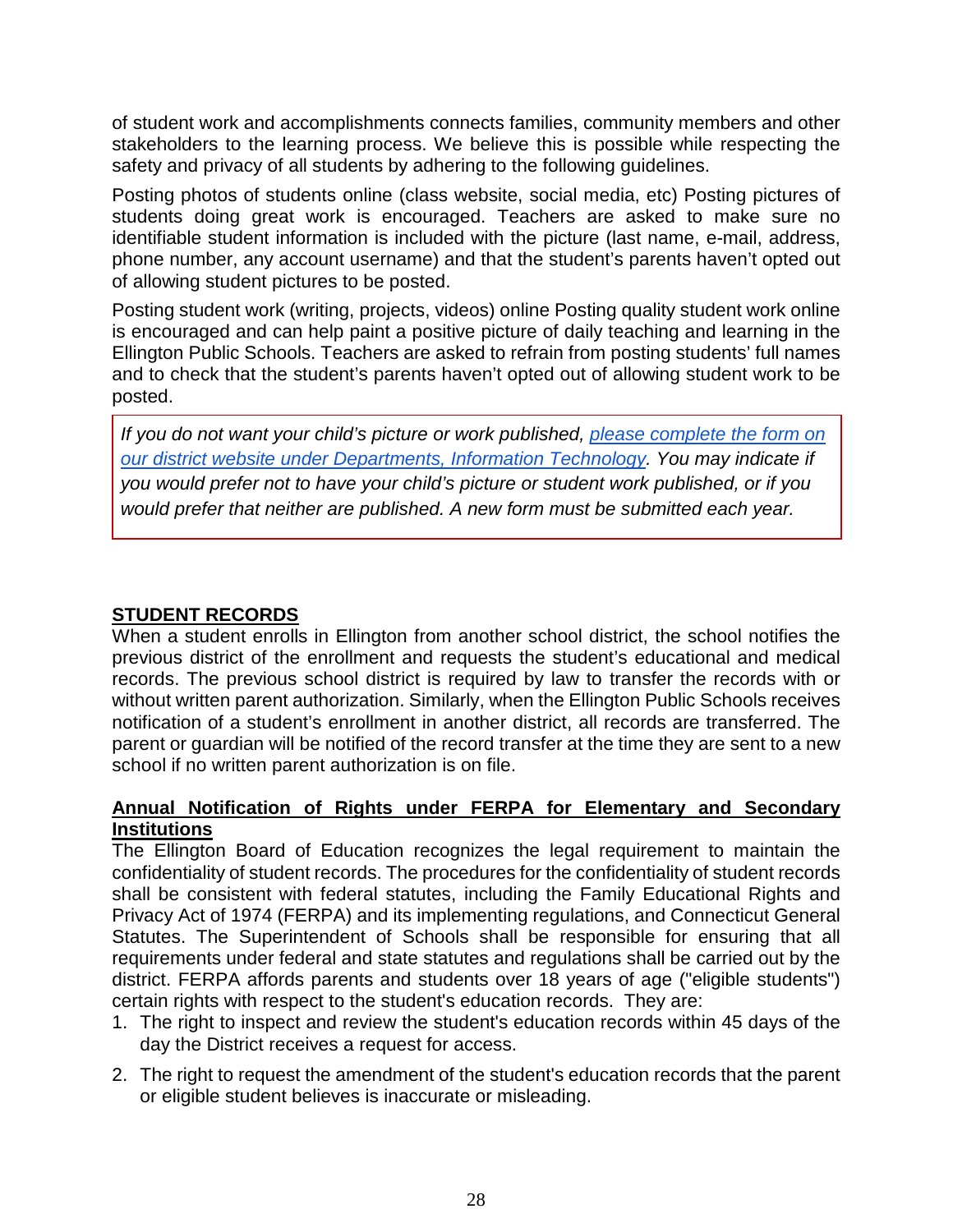of student work and accomplishments connects families, community members and other stakeholders to the learning process. We believe this is possible while respecting the safety and privacy of all students by adhering to the following guidelines.

Posting photos of students online (class website, social media, etc) Posting pictures of students doing great work is encouraged. Teachers are asked to make sure no identifiable student information is included with the picture (last name, e-mail, address, phone number, any account username) and that the student's parents haven't opted out of allowing student pictures to be posted.

Posting student work (writing, projects, videos) online Posting quality student work online is encouraged and can help paint a positive picture of daily teaching and learning in the Ellington Public Schools. Teachers are asked to refrain from posting students' full names and to check that the student's parents haven't opted out of allowing student work to be posted.

*If you do not want your child's picture or work published, [please complete the form on](https://docs.google.com/forms/d/e/1FAIpQLSeMSb5a2UfpilbrbpZBfMT79kWPi4vAAj2m70ue2puDbr3Apw/viewform)  [our district website under Departments, Information Technology.](https://docs.google.com/forms/d/e/1FAIpQLSeMSb5a2UfpilbrbpZBfMT79kWPi4vAAj2m70ue2puDbr3Apw/viewform) You may indicate if you would prefer not to have your child's picture or student work published, or if you would prefer that neither are published. A new form must be submitted each year.*

## **STUDENT RECORDS**

When a student enrolls in Ellington from another school district, the school notifies the previous district of the enrollment and requests the student's educational and medical records. The previous school district is required by law to transfer the records with or without written parent authorization. Similarly, when the Ellington Public Schools receives notification of a student's enrollment in another district, all records are transferred. The parent or guardian will be notified of the record transfer at the time they are sent to a new school if no written parent authorization is on file.

## **Annual Notification of Rights under FERPA for Elementary and Secondary Institutions**

The Ellington Board of Education recognizes the legal requirement to maintain the confidentiality of student records. The procedures for the confidentiality of student records shall be consistent with federal statutes, including the Family Educational Rights and Privacy Act of 1974 (FERPA) and its implementing regulations, and Connecticut General Statutes. The Superintendent of Schools shall be responsible for ensuring that all requirements under federal and state statutes and regulations shall be carried out by the district. FERPA affords parents and students over 18 years of age ("eligible students") certain rights with respect to the student's education records. They are:

- 1. The right to inspect and review the student's education records within 45 days of the day the District receives a request for access.
- 2. The right to request the amendment of the student's education records that the parent or eligible student believes is inaccurate or misleading.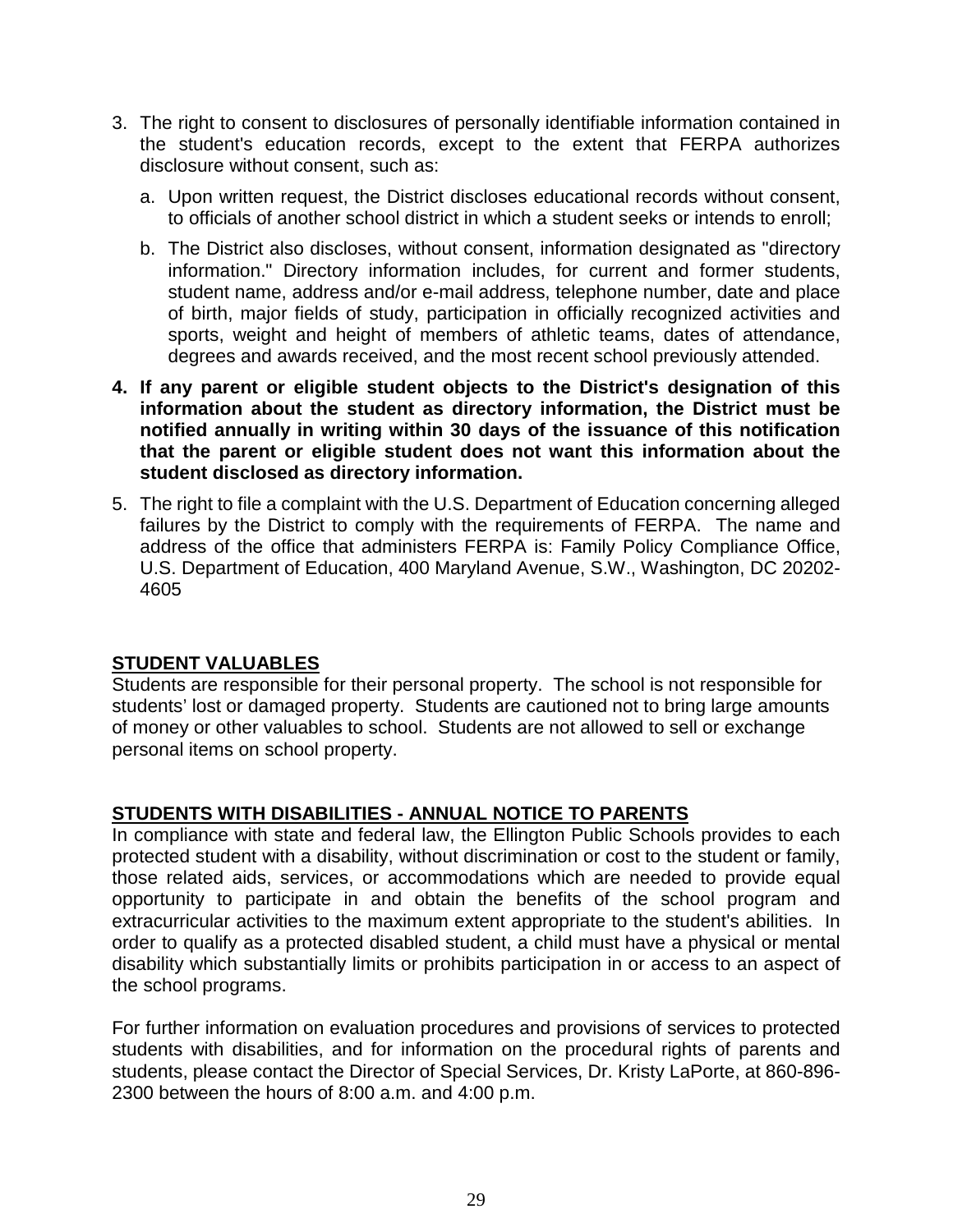- 3. The right to consent to disclosures of personally identifiable information contained in the student's education records, except to the extent that FERPA authorizes disclosure without consent, such as:
	- a. Upon written request, the District discloses educational records without consent, to officials of another school district in which a student seeks or intends to enroll;
	- b. The District also discloses, without consent, information designated as "directory information." Directory information includes, for current and former students, student name, address and/or e-mail address, telephone number, date and place of birth, major fields of study, participation in officially recognized activities and sports, weight and height of members of athletic teams, dates of attendance, degrees and awards received, and the most recent school previously attended.
- **4. If any parent or eligible student objects to the District's designation of this information about the student as directory information, the District must be notified annually in writing within 30 days of the issuance of this notification that the parent or eligible student does not want this information about the student disclosed as directory information.**
- 5. The right to file a complaint with the U.S. Department of Education concerning alleged failures by the District to comply with the requirements of FERPA. The name and address of the office that administers FERPA is: Family Policy Compliance Office, U.S. Department of Education, 400 Maryland Avenue, S.W., Washington, DC 20202- 4605

## **STUDENT VALUABLES**

Students are responsible for their personal property. The school is not responsible for students' lost or damaged property. Students are cautioned not to bring large amounts of money or other valuables to school. Students are not allowed to sell or exchange personal items on school property.

## **STUDENTS WITH DISABILITIES - ANNUAL NOTICE TO PARENTS**

In compliance with state and federal law, the Ellington Public Schools provides to each protected student with a disability, without discrimination or cost to the student or family, those related aids, services, or accommodations which are needed to provide equal opportunity to participate in and obtain the benefits of the school program and extracurricular activities to the maximum extent appropriate to the student's abilities. In order to qualify as a protected disabled student, a child must have a physical or mental disability which substantially limits or prohibits participation in or access to an aspect of the school programs.

For further information on evaluation procedures and provisions of services to protected students with disabilities, and for information on the procedural rights of parents and students, please contact the Director of Special Services, Dr. Kristy LaPorte, at 860-896- 2300 between the hours of 8:00 a.m. and 4:00 p.m.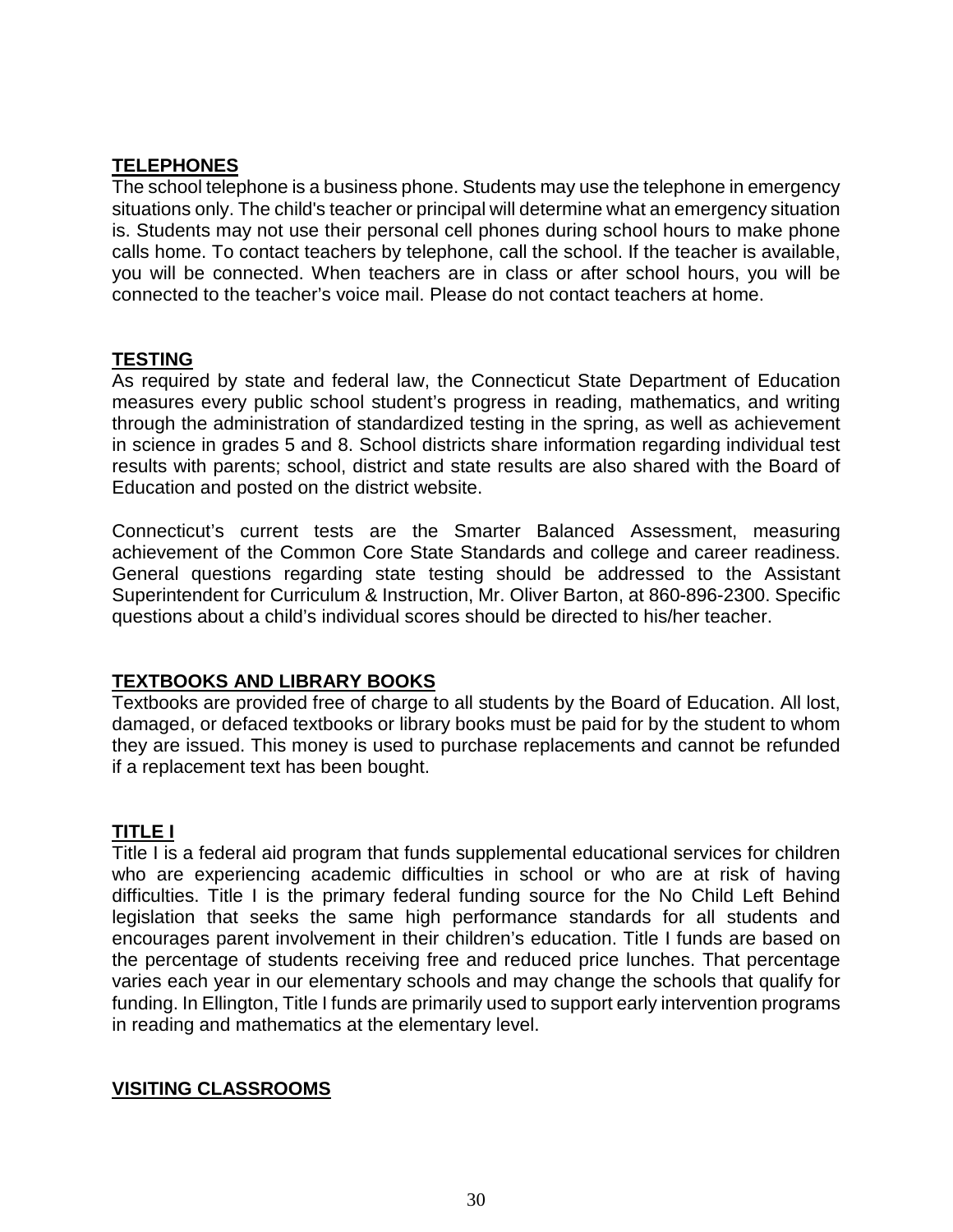## **TELEPHONES**

The school telephone is a business phone. Students may use the telephone in emergency situations only. The child's teacher or principal will determine what an emergency situation is. Students may not use their personal cell phones during school hours to make phone calls home. To contact teachers by telephone, call the school. If the teacher is available, you will be connected. When teachers are in class or after school hours, you will be connected to the teacher's voice mail. Please do not contact teachers at home.

## **TESTING**

As required by state and federal law, the Connecticut State Department of Education measures every public school student's progress in reading, mathematics, and writing through the administration of standardized testing in the spring, as well as achievement in science in grades 5 and 8. School districts share information regarding individual test results with parents; school, district and state results are also shared with the Board of Education and posted on the district website.

Connecticut's current tests are the Smarter Balanced Assessment, measuring achievement of the Common Core State Standards and college and career readiness. General questions regarding state testing should be addressed to the Assistant Superintendent for Curriculum & Instruction, Mr. Oliver Barton, at 860-896-2300. Specific questions about a child's individual scores should be directed to his/her teacher.

## **TEXTBOOKS AND LIBRARY BOOKS**

Textbooks are provided free of charge to all students by the Board of Education. All lost, damaged, or defaced textbooks or library books must be paid for by the student to whom they are issued. This money is used to purchase replacements and cannot be refunded if a replacement text has been bought.

## **TITLE I**

Title I is a federal aid program that funds supplemental educational services for children who are experiencing academic difficulties in school or who are at risk of having difficulties. Title I is the primary federal funding source for the No Child Left Behind legislation that seeks the same high performance standards for all students and encourages parent involvement in their children's education. Title I funds are based on the percentage of students receiving free and reduced price lunches. That percentage varies each year in our elementary schools and may change the schools that qualify for funding. In Ellington, Title I funds are primarily used to support early intervention programs in reading and mathematics at the elementary level.

## **VISITING CLASSROOMS**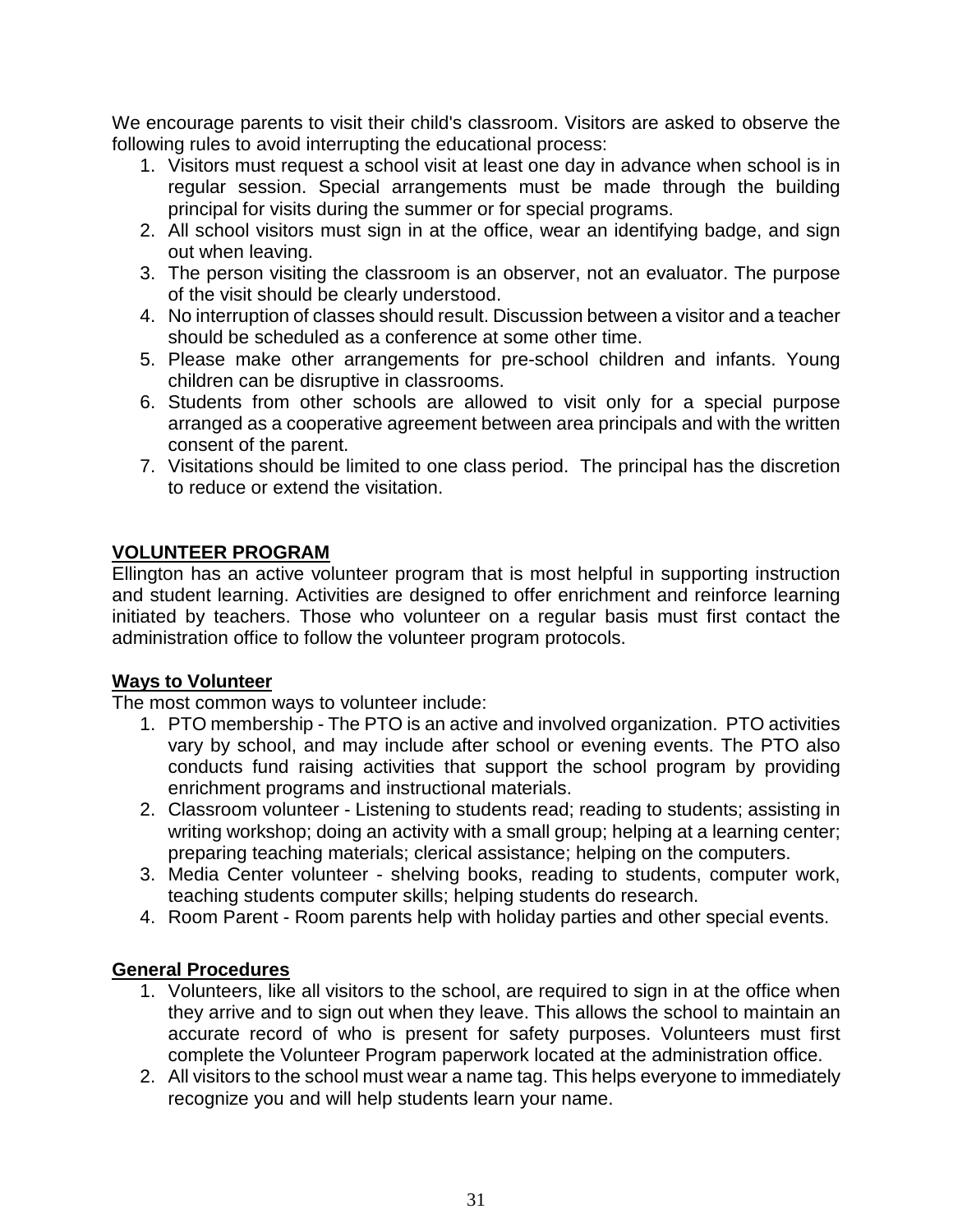We encourage parents to visit their child's classroom. Visitors are asked to observe the following rules to avoid interrupting the educational process:

- 1. Visitors must request a school visit at least one day in advance when school is in regular session. Special arrangements must be made through the building principal for visits during the summer or for special programs.
- 2. All school visitors must sign in at the office, wear an identifying badge, and sign out when leaving.
- 3. The person visiting the classroom is an observer, not an evaluator. The purpose of the visit should be clearly understood.
- 4. No interruption of classes should result. Discussion between a visitor and a teacher should be scheduled as a conference at some other time.
- 5. Please make other arrangements for pre-school children and infants. Young children can be disruptive in classrooms.
- 6. Students from other schools are allowed to visit only for a special purpose arranged as a cooperative agreement between area principals and with the written consent of the parent.
- 7. Visitations should be limited to one class period. The principal has the discretion to reduce or extend the visitation.

## **VOLUNTEER PROGRAM**

Ellington has an active volunteer program that is most helpful in supporting instruction and student learning. Activities are designed to offer enrichment and reinforce learning initiated by teachers. Those who volunteer on a regular basis must first contact the administration office to follow the volunteer program protocols.

## **Ways to Volunteer**

The most common ways to volunteer include:

- 1. PTO membership The PTO is an active and involved organization. PTO activities vary by school, and may include after school or evening events. The PTO also conducts fund raising activities that support the school program by providing enrichment programs and instructional materials.
- 2. Classroom volunteer Listening to students read; reading to students; assisting in writing workshop; doing an activity with a small group; helping at a learning center; preparing teaching materials; clerical assistance; helping on the computers.
- 3. Media Center volunteer shelving books, reading to students, computer work, teaching students computer skills; helping students do research.
- 4. Room Parent Room parents help with holiday parties and other special events.

## **General Procedures**

- 1. Volunteers, like all visitors to the school, are required to sign in at the office when they arrive and to sign out when they leave. This allows the school to maintain an accurate record of who is present for safety purposes. Volunteers must first complete the Volunteer Program paperwork located at the administration office.
- 2. All visitors to the school must wear a name tag. This helps everyone to immediately recognize you and will help students learn your name.